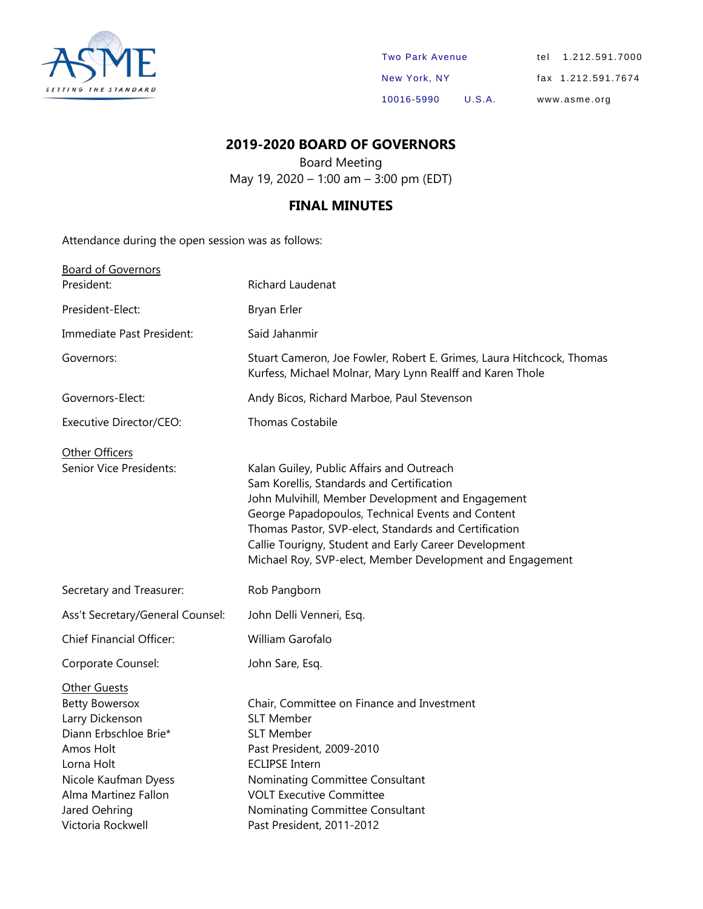

| <b>Two Park Avenue</b> |        | tel 1.212.591.7000 |
|------------------------|--------|--------------------|
| New York, NY           |        | fax 1.212.591.7674 |
| 10016-5990             | U.S.A. | www.asme.org       |

### **2019-2020 BOARD OF GOVERNORS**

Board Meeting May 19, 2020 – 1:00 am – 3:00 pm (EDT)

### **FINAL MINUTES**

Attendance during the open session was as follows:

| <b>Board of Governors</b>                                                                                                                                                                                 |                                                                                                                                                                                                                                                                                                                                                                                 |
|-----------------------------------------------------------------------------------------------------------------------------------------------------------------------------------------------------------|---------------------------------------------------------------------------------------------------------------------------------------------------------------------------------------------------------------------------------------------------------------------------------------------------------------------------------------------------------------------------------|
| President:                                                                                                                                                                                                | Richard Laudenat                                                                                                                                                                                                                                                                                                                                                                |
| President-Elect:                                                                                                                                                                                          | Bryan Erler                                                                                                                                                                                                                                                                                                                                                                     |
| Immediate Past President:                                                                                                                                                                                 | Said Jahanmir                                                                                                                                                                                                                                                                                                                                                                   |
| Governors:                                                                                                                                                                                                | Stuart Cameron, Joe Fowler, Robert E. Grimes, Laura Hitchcock, Thomas<br>Kurfess, Michael Molnar, Mary Lynn Realff and Karen Thole                                                                                                                                                                                                                                              |
| Governors-Elect:                                                                                                                                                                                          | Andy Bicos, Richard Marboe, Paul Stevenson                                                                                                                                                                                                                                                                                                                                      |
| Executive Director/CEO:                                                                                                                                                                                   | <b>Thomas Costabile</b>                                                                                                                                                                                                                                                                                                                                                         |
| Other Officers<br>Senior Vice Presidents:                                                                                                                                                                 | Kalan Guiley, Public Affairs and Outreach<br>Sam Korellis, Standards and Certification<br>John Mulvihill, Member Development and Engagement<br>George Papadopoulos, Technical Events and Content<br>Thomas Pastor, SVP-elect, Standards and Certification<br>Callie Tourigny, Student and Early Career Development<br>Michael Roy, SVP-elect, Member Development and Engagement |
| Secretary and Treasurer:                                                                                                                                                                                  | Rob Pangborn                                                                                                                                                                                                                                                                                                                                                                    |
| Ass't Secretary/General Counsel:                                                                                                                                                                          | John Delli Venneri, Esq.                                                                                                                                                                                                                                                                                                                                                        |
| <b>Chief Financial Officer:</b>                                                                                                                                                                           | William Garofalo                                                                                                                                                                                                                                                                                                                                                                |
| Corporate Counsel:                                                                                                                                                                                        | John Sare, Esq.                                                                                                                                                                                                                                                                                                                                                                 |
| <b>Other Guests</b><br><b>Betty Bowersox</b><br>Larry Dickenson<br>Diann Erbschloe Brie*<br>Amos Holt<br>Lorna Holt<br>Nicole Kaufman Dyess<br>Alma Martinez Fallon<br>Jared Oehring<br>Victoria Rockwell | Chair, Committee on Finance and Investment<br><b>SLT Member</b><br><b>SLT Member</b><br>Past President, 2009-2010<br><b>ECLIPSE Intern</b><br>Nominating Committee Consultant<br><b>VOLT Executive Committee</b><br>Nominating Committee Consultant<br>Past President, 2011-2012                                                                                                |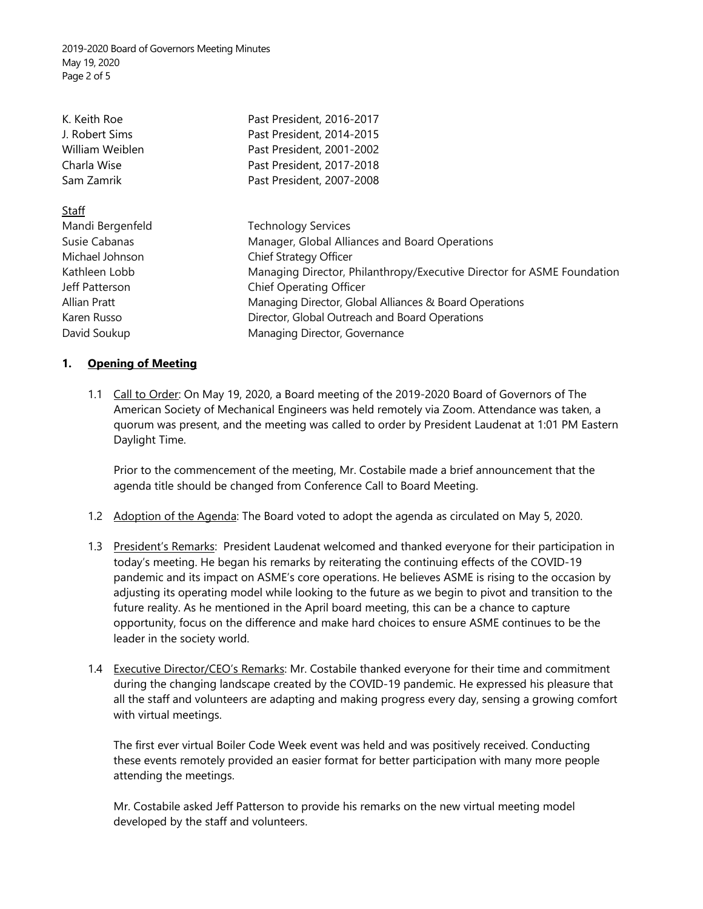2019-2020 Board of Governors Meeting Minutes May 19, 2020 Page 2 of 5

| K. Keith Roe<br>J. Robert Sims<br>William Weiblen<br>Charla Wise<br>Sam Zamrik | Past President, 2016-2017<br>Past President, 2014-2015<br>Past President, 2001-2002<br>Past President, 2017-2018<br>Past President, 2007-2008 |
|--------------------------------------------------------------------------------|-----------------------------------------------------------------------------------------------------------------------------------------------|
| <b>Staff</b>                                                                   |                                                                                                                                               |
| Mandi Bergenfeld                                                               | <b>Technology Services</b>                                                                                                                    |
| Susie Cabanas                                                                  | Manager, Global Alliances and Board Operations                                                                                                |
| Michael Johnson                                                                | Chief Strategy Officer                                                                                                                        |
| Kathleen Lobb                                                                  | Managing Director, Philanthropy/Executive Director for ASME Foundation                                                                        |
| Jeff Patterson                                                                 | <b>Chief Operating Officer</b>                                                                                                                |
| Allian Pratt                                                                   | Managing Director, Global Alliances & Board Operations                                                                                        |
| Karen Russo                                                                    | Director, Global Outreach and Board Operations                                                                                                |
| David Soukup                                                                   | Managing Director, Governance                                                                                                                 |

#### **1. Opening of Meeting**

1.1 Call to Order: On May 19, 2020, a Board meeting of the 2019-2020 Board of Governors of The American Society of Mechanical Engineers was held remotely via Zoom. Attendance was taken, a quorum was present, and the meeting was called to order by President Laudenat at 1:01 PM Eastern Daylight Time.

Prior to the commencement of the meeting, Mr. Costabile made a brief announcement that the agenda title should be changed from Conference Call to Board Meeting.

- 1.2 Adoption of the Agenda: The Board voted to adopt the agenda as circulated on May 5, 2020.
- 1.3 President's Remarks: President Laudenat welcomed and thanked everyone for their participation in today's meeting. He began his remarks by reiterating the continuing effects of the COVID-19 pandemic and its impact on ASME's core operations. He believes ASME is rising to the occasion by adjusting its operating model while looking to the future as we begin to pivot and transition to the future reality. As he mentioned in the April board meeting, this can be a chance to capture opportunity, focus on the difference and make hard choices to ensure ASME continues to be the leader in the society world.
- 1.4 Executive Director/CEO's Remarks: Mr. Costabile thanked everyone for their time and commitment during the changing landscape created by the COVID-19 pandemic. He expressed his pleasure that all the staff and volunteers are adapting and making progress every day, sensing a growing comfort with virtual meetings.

The first ever virtual Boiler Code Week event was held and was positively received. Conducting these events remotely provided an easier format for better participation with many more people attending the meetings.

Mr. Costabile asked Jeff Patterson to provide his remarks on the new virtual meeting model developed by the staff and volunteers.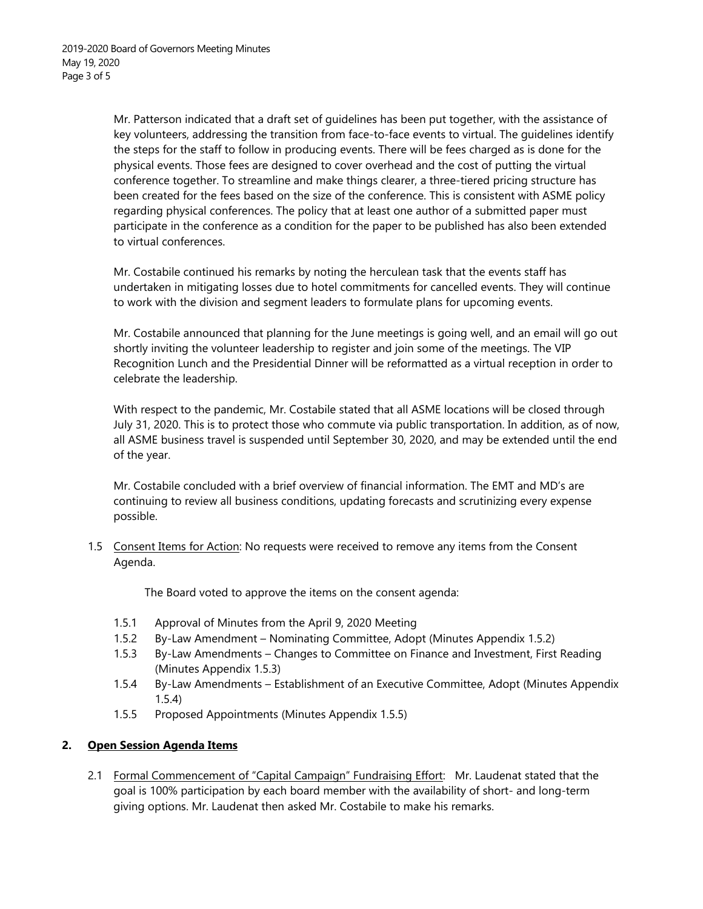Mr. Patterson indicated that a draft set of guidelines has been put together, with the assistance of key volunteers, addressing the transition from face-to-face events to virtual. The guidelines identify the steps for the staff to follow in producing events. There will be fees charged as is done for the physical events. Those fees are designed to cover overhead and the cost of putting the virtual conference together. To streamline and make things clearer, a three-tiered pricing structure has been created for the fees based on the size of the conference. This is consistent with ASME policy regarding physical conferences. The policy that at least one author of a submitted paper must participate in the conference as a condition for the paper to be published has also been extended to virtual conferences.

Mr. Costabile continued his remarks by noting the herculean task that the events staff has undertaken in mitigating losses due to hotel commitments for cancelled events. They will continue to work with the division and segment leaders to formulate plans for upcoming events.

Mr. Costabile announced that planning for the June meetings is going well, and an email will go out shortly inviting the volunteer leadership to register and join some of the meetings. The VIP Recognition Lunch and the Presidential Dinner will be reformatted as a virtual reception in order to celebrate the leadership.

With respect to the pandemic, Mr. Costabile stated that all ASME locations will be closed through July 31, 2020. This is to protect those who commute via public transportation. In addition, as of now, all ASME business travel is suspended until September 30, 2020, and may be extended until the end of the year.

Mr. Costabile concluded with a brief overview of financial information. The EMT and MD's are continuing to review all business conditions, updating forecasts and scrutinizing every expense possible.

1.5 Consent Items for Action: No requests were received to remove any items from the Consent Agenda.

The Board voted to approve the items on the consent agenda:

- 1.5.1 Approval of Minutes from the April 9, 2020 Meeting
- 1.5.2 By-Law Amendment Nominating Committee, Adopt (Minutes Appendix 1.5.2)
- 1.5.3 By-Law Amendments Changes to Committee on Finance and Investment, First Reading (Minutes Appendix 1.5.3)
- 1.5.4 By-Law Amendments Establishment of an Executive Committee, Adopt (Minutes Appendix 1.5.4)
- 1.5.5 Proposed Appointments (Minutes Appendix 1.5.5)

#### **2. Open Session Agenda Items**

2.1 Formal Commencement of "Capital Campaign" Fundraising Effort: Mr. Laudenat stated that the goal is 100% participation by each board member with the availability of short- and long-term giving options. Mr. Laudenat then asked Mr. Costabile to make his remarks.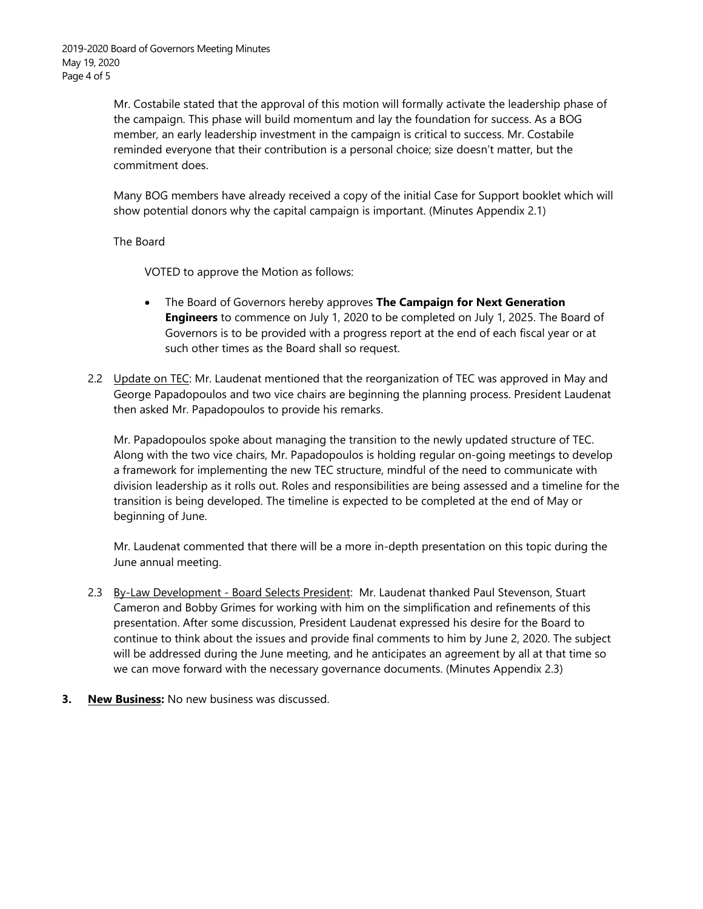Mr. Costabile stated that the approval of this motion will formally activate the leadership phase of the campaign. This phase will build momentum and lay the foundation for success. As a BOG member, an early leadership investment in the campaign is critical to success. Mr. Costabile reminded everyone that their contribution is a personal choice; size doesn't matter, but the commitment does.

Many BOG members have already received a copy of the initial Case for Support booklet which will show potential donors why the capital campaign is important. (Minutes Appendix 2.1)

The Board

VOTED to approve the Motion as follows:

- The Board of Governors hereby approves **The Campaign for Next Generation Engineers** to commence on July 1, 2020 to be completed on July 1, 2025. The Board of Governors is to be provided with a progress report at the end of each fiscal year or at such other times as the Board shall so request.
- 2.2 Update on TEC: Mr. Laudenat mentioned that the reorganization of TEC was approved in May and George Papadopoulos and two vice chairs are beginning the planning process. President Laudenat then asked Mr. Papadopoulos to provide his remarks.

Mr. Papadopoulos spoke about managing the transition to the newly updated structure of TEC. Along with the two vice chairs, Mr. Papadopoulos is holding regular on-going meetings to develop a framework for implementing the new TEC structure, mindful of the need to communicate with division leadership as it rolls out. Roles and responsibilities are being assessed and a timeline for the transition is being developed. The timeline is expected to be completed at the end of May or beginning of June.

Mr. Laudenat commented that there will be a more in-depth presentation on this topic during the June annual meeting.

- 2.3 By-Law Development Board Selects President: Mr. Laudenat thanked Paul Stevenson, Stuart Cameron and Bobby Grimes for working with him on the simplification and refinements of this presentation. After some discussion, President Laudenat expressed his desire for the Board to continue to think about the issues and provide final comments to him by June 2, 2020. The subject will be addressed during the June meeting, and he anticipates an agreement by all at that time so we can move forward with the necessary governance documents. (Minutes Appendix 2.3)
- **3. New Business:** No new business was discussed.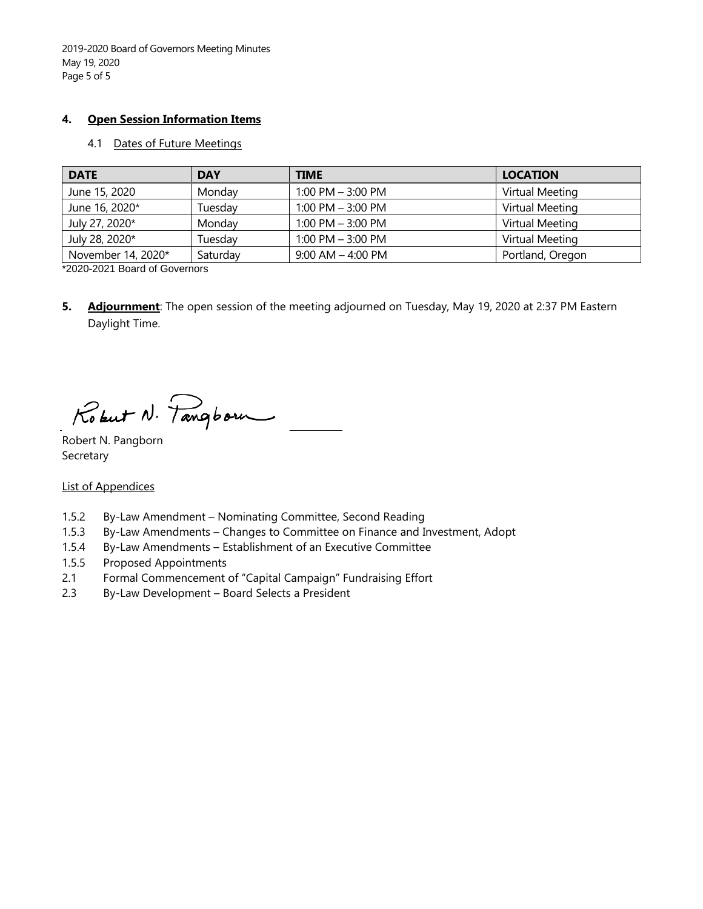2019-2020 Board of Governors Meeting Minutes May 19, 2020 Page 5 of 5

#### **4. Open Session Information Items**

#### 4.1 Dates of Future Meetings

| <b>DATE</b>        | <b>DAY</b> | <b>TIME</b>           | <b>LOCATION</b>  |
|--------------------|------------|-----------------------|------------------|
| June 15, 2020      | Monday     | $1:00$ PM $-3:00$ PM  | Virtual Meeting  |
| June 16, 2020*     | Tuesday    | 1:00 PM $-$ 3:00 PM   | Virtual Meeting  |
| July 27, 2020*     | Monday     | $1:00$ PM $-3:00$ PM  | Virtual Meeting  |
| July 28, 2020*     | Tuesday    | 1:00 PM $-$ 3:00 PM   | Virtual Meeting  |
| November 14, 2020* | Saturday   | $9:00$ AM $-$ 4:00 PM | Portland, Oregon |

\*2020-2021 Board of Governors

**5. Adjournment**: The open session of the meeting adjourned on Tuesday, May 19, 2020 at 2:37 PM Eastern Daylight Time.

Robert N. Pangborn

Robert N. Pangborn Secretary

#### List of Appendices

- 1.5.2 By-Law Amendment Nominating Committee, Second Reading
- 1.5.3 By-Law Amendments Changes to Committee on Finance and Investment, Adopt
- 1.5.4 By-Law Amendments Establishment of an Executive Committee
- 1.5.5 Proposed Appointments
- 2.1 Formal Commencement of "Capital Campaign" Fundraising Effort
- 2.3 By-Law Development Board Selects a President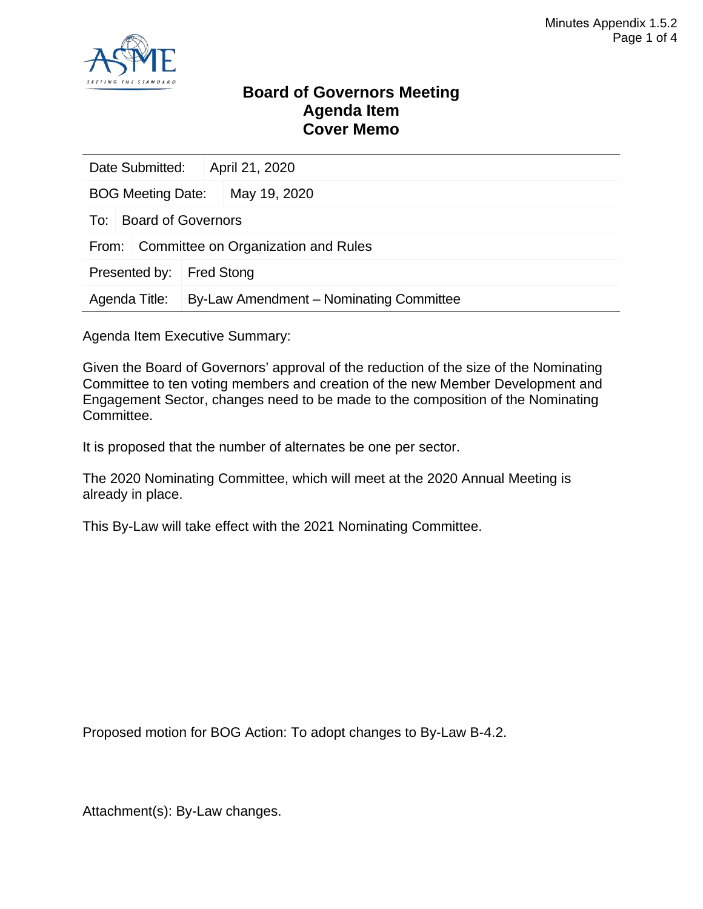

### **Board of Governors Meeting Agenda Item Cover Memo**

| Date Submitted:                              |  |  | April 21, 2020                          |
|----------------------------------------------|--|--|-----------------------------------------|
| <b>BOG Meeting Date:</b>                     |  |  | May 19, 2020                            |
| <b>Board of Governors</b><br>To:             |  |  |                                         |
| Committee on Organization and Rules<br>From: |  |  |                                         |
| Presented by:<br><b>Fred Stong</b>           |  |  |                                         |
| Agenda Title:                                |  |  | By-Law Amendment – Nominating Committee |

Agenda Item Executive Summary:

Given the Board of Governors' approval of the reduction of the size of the Nominating Committee to ten voting members and creation of the new Member Development and Engagement Sector, changes need to be made to the composition of the Nominating Committee.

It is proposed that the number of alternates be one per sector.

The 2020 Nominating Committee, which will meet at the 2020 Annual Meeting is already in place.

This By-Law will take effect with the 2021 Nominating Committee.

Proposed motion for BOG Action: To adopt changes to By-Law B-4.2.

Attachment(s): By-Law changes.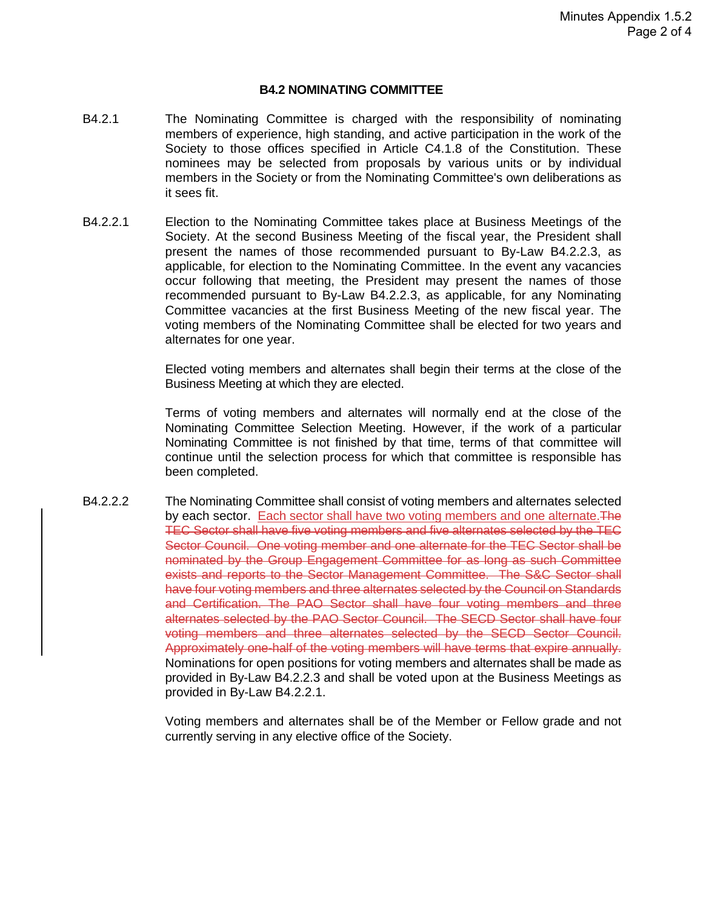#### **B4.2 NOMINATING COMMITTEE**

- B4.2.1 The Nominating Committee is charged with the responsibility of nominating members of experience, high standing, and active participation in the work of the Society to those offices specified in Article C4.1.8 of the Constitution. These nominees may be selected from proposals by various units or by individual members in the Society or from the Nominating Committee's own deliberations as it sees fit.
- B4.2.2.1 Election to the Nominating Committee takes place at Business Meetings of the Society. At the second Business Meeting of the fiscal year, the President shall present the names of those recommended pursuant to By-Law B4.2.2.3, as applicable, for election to the Nominating Committee. In the event any vacancies occur following that meeting, the President may present the names of those recommended pursuant to By-Law B4.2.2.3, as applicable, for any Nominating Committee vacancies at the first Business Meeting of the new fiscal year. The voting members of the Nominating Committee shall be elected for two years and alternates for one year.

Elected voting members and alternates shall begin their terms at the close of the Business Meeting at which they are elected.

Terms of voting members and alternates will normally end at the close of the Nominating Committee Selection Meeting. However, if the work of a particular Nominating Committee is not finished by that time, terms of that committee will continue until the selection process for which that committee is responsible has been completed.

B4.2.2.2 The Nominating Committee shall consist of voting members and alternates selected by each sector. Each sector shall have two voting members and one alternate. The TEC Sector shall have five voting members and five alternates selected by the TEC Sector Council. One voting member and one alternate for the TEC Sector shall be nominated by the Group Engagement Committee for as long as such Committee exists and reports to the Sector Management Committee. The S&C Sector shall have four voting members and three alternates selected by the Council on Standards and Certification. The PAO Sector shall have four voting members and three alternates selected by the PAO Sector Council. The SECD Sector shall have four voting members and three alternates selected by the SECD Sector Council. Approximately one-half of the voting members will have terms that expire annually. Nominations for open positions for voting members and alternates shall be made as provided in By-Law B4.2.2.3 and shall be voted upon at the Business Meetings as provided in By-Law B4.2.2.1.

> Voting members and alternates shall be of the Member or Fellow grade and not currently serving in any elective office of the Society.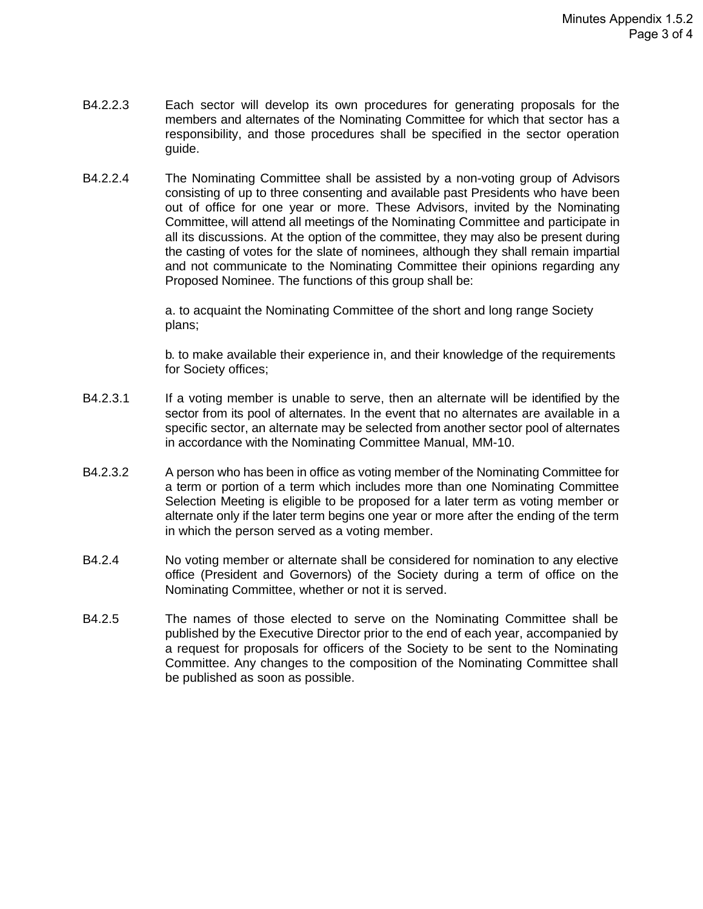- B4.2.2.3 Each sector will develop its own procedures for generating proposals for the members and alternates of the Nominating Committee for which that sector has a responsibility, and those procedures shall be specified in the sector operation guide.
- B4.2.2.4 The Nominating Committee shall be assisted by a non-voting group of Advisors consisting of up to three consenting and available past Presidents who have been out of office for one year or more. These Advisors, invited by the Nominating Committee, will attend all meetings of the Nominating Committee and participate in all its discussions. At the option of the committee, they may also be present during the casting of votes for the slate of nominees, although they shall remain impartial and not communicate to the Nominating Committee their opinions regarding any Proposed Nominee. The functions of this group shall be:

a. to acquaint the Nominating Committee of the short and long range Society plans;

b. to make available their experience in, and their knowledge of the requirements for Society offices;

- B4.2.3.1 If a voting member is unable to serve, then an alternate will be identified by the sector from its pool of alternates. In the event that no alternates are available in a specific sector, an alternate may be selected from another sector pool of alternates in accordance with the Nominating Committee Manual, MM-10.
- B4.2.3.2 A person who has been in office as voting member of the Nominating Committee for a term or portion of a term which includes more than one Nominating Committee Selection Meeting is eligible to be proposed for a later term as voting member or alternate only if the later term begins one year or more after the ending of the term in which the person served as a voting member.
- B4.2.4 No voting member or alternate shall be considered for nomination to any elective office (President and Governors) of the Society during a term of office on the Nominating Committee, whether or not it is served.
- B4.2.5 The names of those elected to serve on the Nominating Committee shall be published by the Executive Director prior to the end of each year, accompanied by a request for proposals for officers of the Society to be sent to the Nominating Committee. Any changes to the composition of the Nominating Committee shall be published as soon as possible.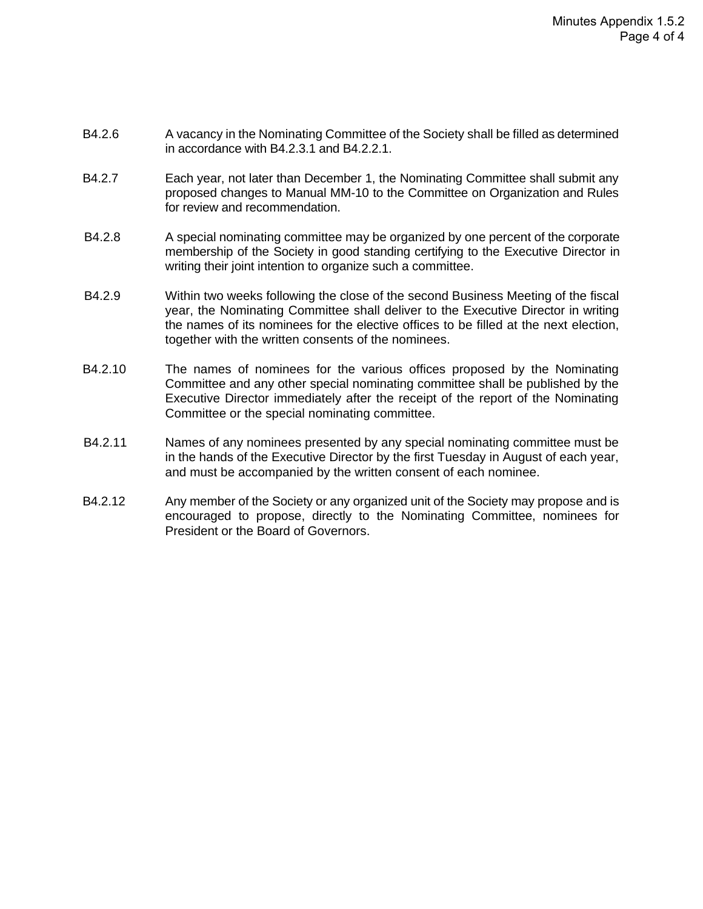- B4.2.6 A vacancy in the Nominating Committee of the Society shall be filled as determined in accordance with B4.2.3.1 and B4.2.2.1.
- B4.2.7 Each year, not later than December 1, the Nominating Committee shall submit any proposed changes to Manual MM-10 to the Committee on Organization and Rules for review and recommendation.
- B4.2.8 A special nominating committee may be organized by one percent of the corporate membership of the Society in good standing certifying to the Executive Director in writing their joint intention to organize such a committee.
- B4.2.9 Within two weeks following the close of the second Business Meeting of the fiscal year, the Nominating Committee shall deliver to the Executive Director in writing the names of its nominees for the elective offices to be filled at the next election, together with the written consents of the nominees.
- B4.2.10 The names of nominees for the various offices proposed by the Nominating Committee and any other special nominating committee shall be published by the Executive Director immediately after the receipt of the report of the Nominating Committee or the special nominating committee.
- B4.2.11 Names of any nominees presented by any special nominating committee must be in the hands of the Executive Director by the first Tuesday in August of each year, and must be accompanied by the written consent of each nominee.
- B4.2.12 Any member of the Society or any organized unit of the Society may propose and is encouraged to propose, directly to the Nominating Committee, nominees for President or the Board of Governors.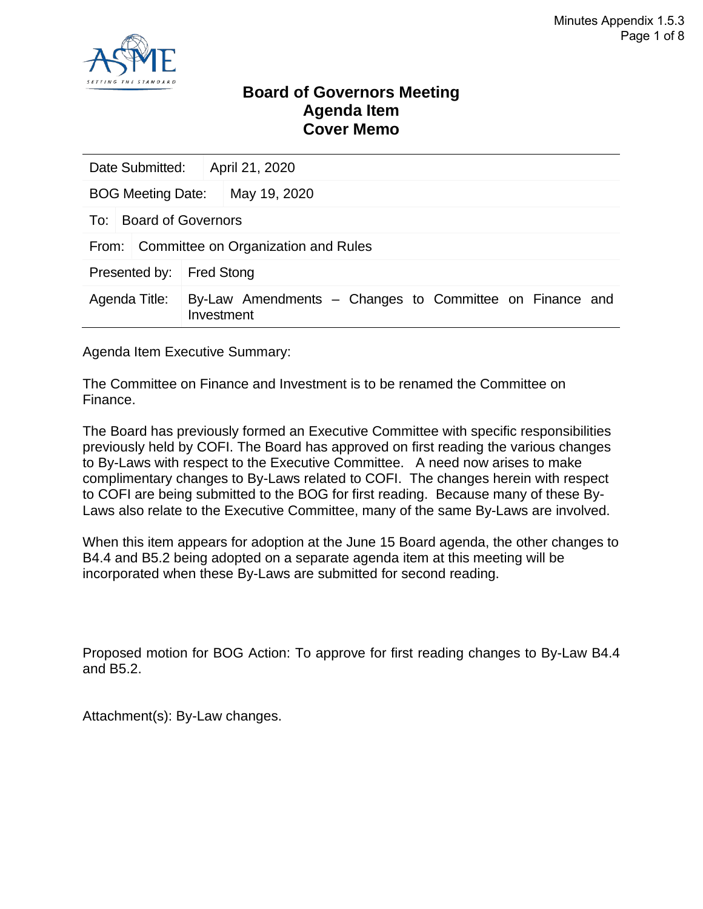

### **Board of Governors Meeting Agenda Item Cover Memo**

| Date Submitted:                              | April 21, 2020    |                                                         |  |  |
|----------------------------------------------|-------------------|---------------------------------------------------------|--|--|
| <b>BOG Meeting Date:</b>                     |                   | May 19, 2020                                            |  |  |
| To: Board of Governors                       |                   |                                                         |  |  |
| Committee on Organization and Rules<br>From: |                   |                                                         |  |  |
| Presented by:                                | <b>Fred Stong</b> |                                                         |  |  |
| Agenda Title:                                | Investment        | By-Law Amendments – Changes to Committee on Finance and |  |  |

Agenda Item Executive Summary:

The Committee on Finance and Investment is to be renamed the Committee on Finance.

The Board has previously formed an Executive Committee with specific responsibilities previously held by COFI. The Board has approved on first reading the various changes to By-Laws with respect to the Executive Committee. A need now arises to make complimentary changes to By-Laws related to COFI. The changes herein with respect to COFI are being submitted to the BOG for first reading. Because many of these By-Laws also relate to the Executive Committee, many of the same By-Laws are involved.

When this item appears for adoption at the June 15 Board agenda, the other changes to B4.4 and B5.2 being adopted on a separate agenda item at this meeting will be incorporated when these By-Laws are submitted for second reading.

Proposed motion for BOG Action: To approve for first reading changes to By-Law B4.4 and B5.2.

Attachment(s): By-Law changes.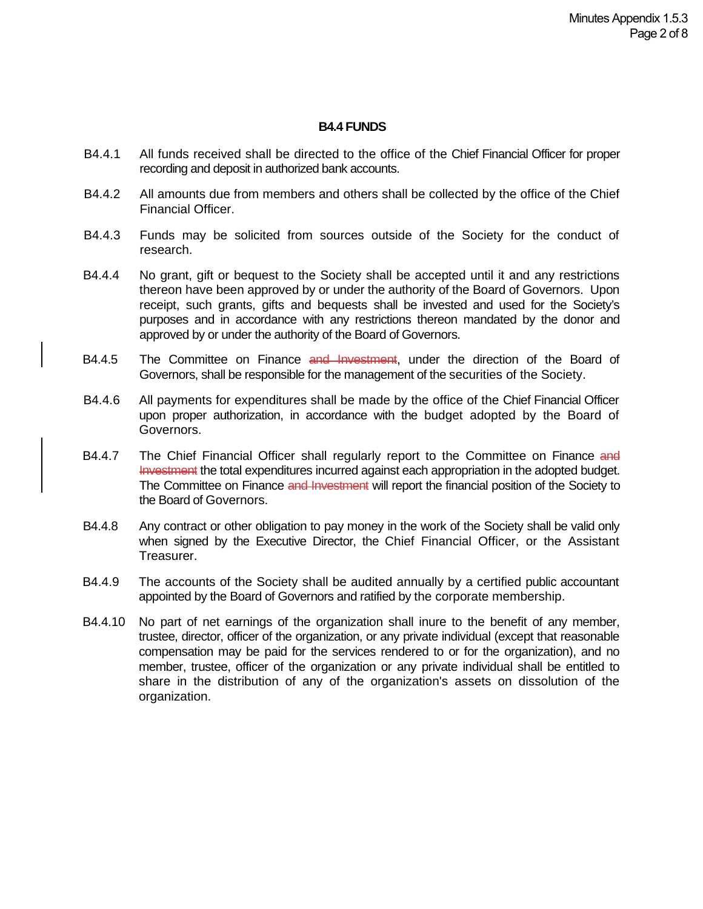#### **B4.4 FUNDS**

- B4.4.1 All funds received shall be directed to the office of the Chief Financial Officer for proper recording and deposit in authorized bank accounts.
- B4.4.2 All amounts due from members and others shall be collected by the office of the Chief Financial Officer.
- B4.4.3 Funds may be solicited from sources outside of the Society for the conduct of research.
- B4.4.4 No grant, gift or bequest to the Society shall be accepted until it and any restrictions thereon have been approved by or under the authority of the Board of Governors. Upon receipt, such grants, gifts and bequests shall be invested and used for the Society's purposes and in accordance with any restrictions thereon mandated by the donor and approved by or under the authority of the Board of Governors.
- B4.4.5 The Committee on Finance and Investment, under the direction of the Board of Governors, shall be responsible for the management of the securities of the Society.
- B4.4.6 All payments for expenditures shall be made by the office of the Chief Financial Officer upon proper authorization, in accordance with the budget adopted by the Board of Governors.
- B4.4.7 The Chief Financial Officer shall regularly report to the Committee on Finance and Investment the total expenditures incurred against each appropriation in the adopted budget. The Committee on Finance and Investment will report the financial position of the Society to the Board of Governors.
- B4.4.8 Any contract or other obligation to pay money in the work of the Society shall be valid only when signed by the Executive Director, the Chief Financial Officer, or the Assistant Treasurer.
- B4.4.9 The accounts of the Society shall be audited annually by a certified public accountant appointed by the Board of Governors and ratified by the corporate membership.
- B4.4.10 No part of net earnings of the organization shall inure to the benefit of any member, trustee, director, officer of the organization, or any private individual (except that reasonable compensation may be paid for the services rendered to or for the organization), and no member, trustee, officer of the organization or any private individual shall be entitled to share in the distribution of any of the organization's assets on dissolution of the organization.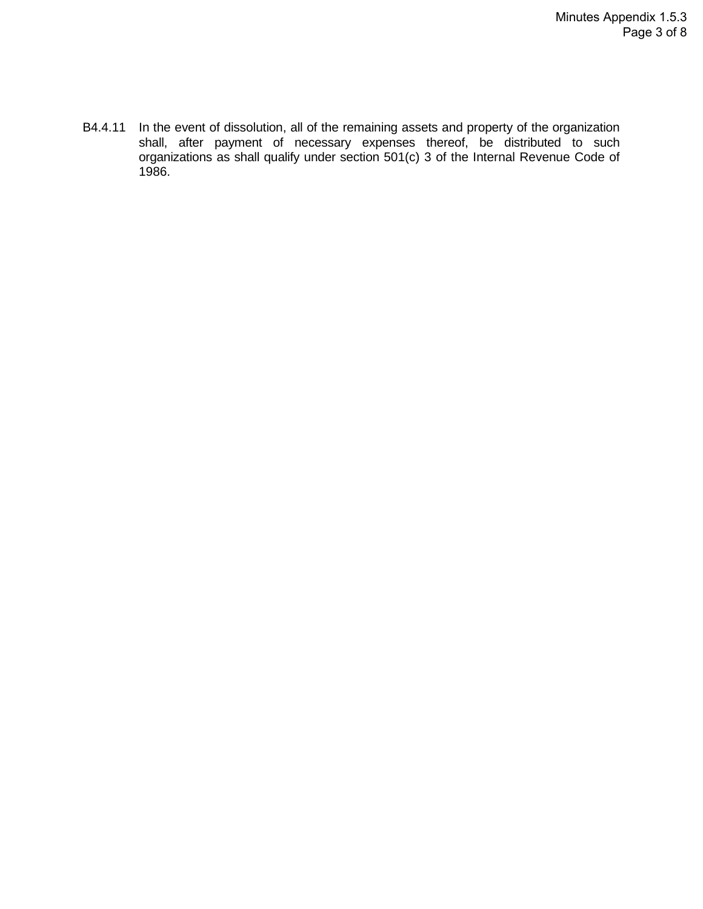B4.4.11 In the event of dissolution, all of the remaining assets and property of the organization shall, after payment of necessary expenses thereof, be distributed to such organizations as shall qualify under section 501(c) 3 of the Internal Revenue Code of 1986.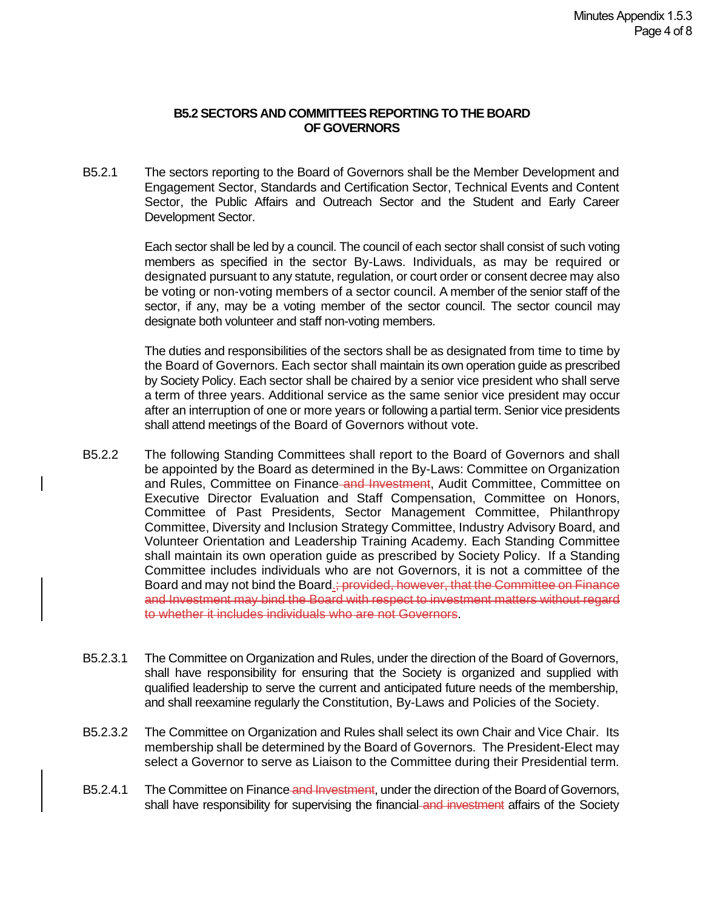#### **B5.2 SECTORS AND COMMITTEES REPORTING TO THE BOARD OF GOVERNORS**

B5.2.1 The sectors reporting to the Board of Governors shall be the Member Development and Engagement Sector, Standards and Certification Sector, Technical Events and Content Sector, the Public Affairs and Outreach Sector and the Student and Early Career Development Sector.

> Each sector shall be led by a council. The council of each sector shall consist of such voting members as specified in the sector By-Laws. Individuals, as may be required or designated pursuant to any statute, regulation, or court order or consent decree may also be voting or non-voting members of a sector council. A member of the senior staff of the sector, if any, may be a voting member of the sector council. The sector council may designate both volunteer and staff non-voting members.

> The duties and responsibilities of the sectors shall be as designated from time to time by the Board of Governors. Each sector shall maintain its own operation guide as prescribed by Society Policy. Each sector shall be chaired by a senior vice president who shall serve a term of three years. Additional service as the same senior vice president may occur after an interruption of one or more years or following a partial term. Senior vice presidents shall attend meetings of the Board of Governors without vote.

- B5.2.2 The following Standing Committees shall report to the Board of Governors and shall be appointed by the Board as determined in the By-Laws: Committee on Organization and Rules, Committee on Finance and Investment, Audit Committee, Committee on Executive Director Evaluation and Staff Compensation, Committee on Honors, Committee of Past Presidents, Sector Management Committee, Philanthropy Committee, Diversity and Inclusion Strategy Committee, Industry Advisory Board, and Volunteer Orientation and Leadership Training Academy. Each Standing Committee shall maintain its own operation guide as prescribed by Society Policy. If a Standing Committee includes individuals who are not Governors, it is not a committee of the Board and may not bind the Board.; provided, however, that the Committee on Finance and Investment may bind the Board with respect to investment matters without regard to whether it includes individuals who are not Governors.
- B5.2.3.1 The Committee on Organization and Rules, under the direction of the Board of Governors, shall have responsibility for ensuring that the Society is organized and supplied with qualified leadership to serve the current and anticipated future needs of the membership, and shall reexamine regularly the Constitution, By-Laws and Policies of the Society.
- B5.2.3.2 The Committee on Organization and Rules shall select its own Chair and Vice Chair. Its membership shall be determined by the Board of Governors. The President-Elect may select a Governor to serve as Liaison to the Committee during their Presidential term.
- B5.2.4.1 The Committee on Finance and Investment, under the direction of the Board of Governors, shall have responsibility for supervising the financial and investment affairs of the Society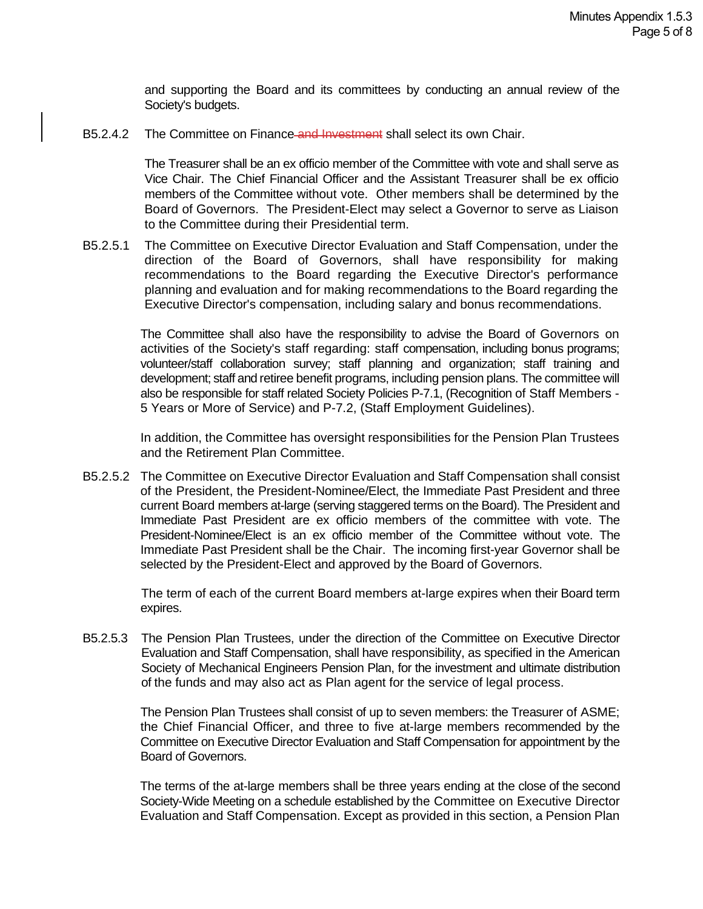and supporting the Board and its committees by conducting an annual review of the Society's budgets.

B5.2.4.2 The Committee on Finance and Investment shall select its own Chair.

The Treasurer shall be an ex officio member of the Committee with vote and shall serve as Vice Chair. The Chief Financial Officer and the Assistant Treasurer shall be ex officio members of the Committee without vote. Other members shall be determined by the Board of Governors. The President-Elect may select a Governor to serve as Liaison to the Committee during their Presidential term.

B5.2.5.1 The Committee on Executive Director Evaluation and Staff Compensation, under the direction of the Board of Governors, shall have responsibility for making recommendations to the Board regarding the Executive Director's performance planning and evaluation and for making recommendations to the Board regarding the Executive Director's compensation, including salary and bonus recommendations.

> The Committee shall also have the responsibility to advise the Board of Governors on activities of the Society's staff regarding: staff compensation, including bonus programs; volunteer/staff collaboration survey; staff planning and organization; staff training and development; staff and retiree benefit programs, including pension plans. The committee will also be responsible for staff related Society Policies P-7.1, (Recognition of Staff Members - 5 Years or More of Service) and P-7.2, (Staff Employment Guidelines).

> In addition, the Committee has oversight responsibilities for the Pension Plan Trustees and the Retirement Plan Committee.

B5.2.5.2 The Committee on Executive Director Evaluation and Staff Compensation shall consist of the President, the President-Nominee/Elect, the Immediate Past President and three current Board members at-large (serving staggered terms on the Board). The President and Immediate Past President are ex officio members of the committee with vote. The President-Nominee/Elect is an ex officio member of the Committee without vote. The Immediate Past President shall be the Chair. The incoming first-year Governor shall be selected by the President-Elect and approved by the Board of Governors.

> The term of each of the current Board members at-large expires when their Board term expires.

B5.2.5.3 The Pension Plan Trustees, under the direction of the Committee on Executive Director Evaluation and Staff Compensation, shall have responsibility, as specified in the American Society of Mechanical Engineers Pension Plan, for the investment and ultimate distribution of the funds and may also act as Plan agent for the service of legal process.

> The Pension Plan Trustees shall consist of up to seven members: the Treasurer of ASME; the Chief Financial Officer, and three to five at-large members recommended by the Committee on Executive Director Evaluation and Staff Compensation for appointment by the Board of Governors.

> The terms of the at-large members shall be three years ending at the close of the second Society-Wide Meeting on a schedule established by the Committee on Executive Director Evaluation and Staff Compensation. Except as provided in this section, a Pension Plan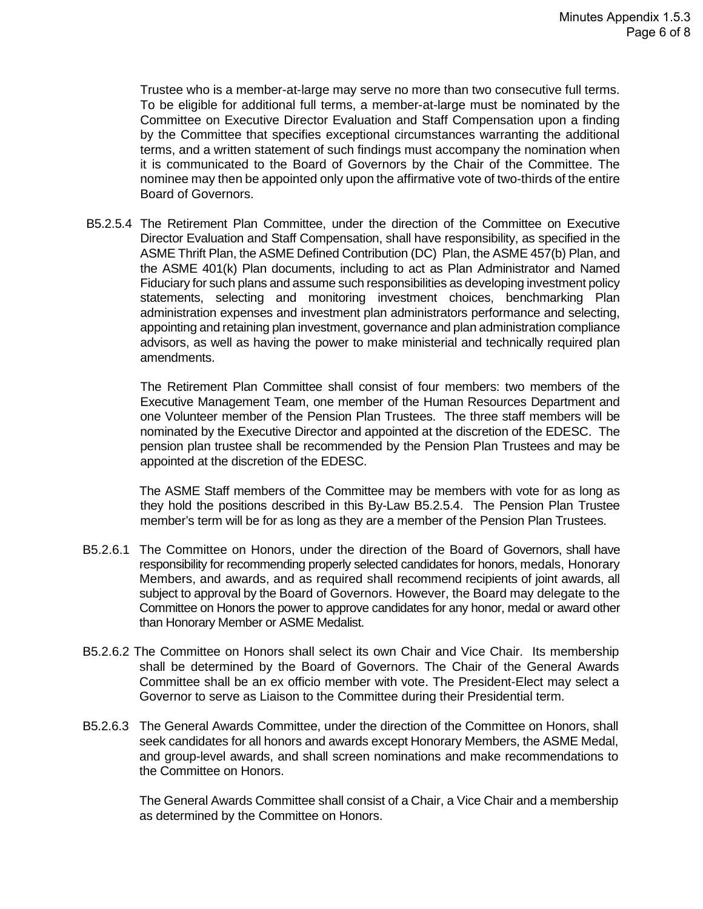Trustee who is a member-at-large may serve no more than two consecutive full terms. To be eligible for additional full terms, a member-at-large must be nominated by the Committee on Executive Director Evaluation and Staff Compensation upon a finding by the Committee that specifies exceptional circumstances warranting the additional terms, and a written statement of such findings must accompany the nomination when it is communicated to the Board of Governors by the Chair of the Committee. The nominee may then be appointed only upon the affirmative vote of two-thirds of the entire Board of Governors.

B5.2.5.4 The Retirement Plan Committee, under the direction of the Committee on Executive Director Evaluation and Staff Compensation, shall have responsibility, as specified in the ASME Thrift Plan, the ASME Defined Contribution (DC) Plan, the ASME 457(b) Plan, and the ASME 401(k) Plan documents, including to act as Plan Administrator and Named Fiduciary for such plans and assume such responsibilities as developing investment policy statements, selecting and monitoring investment choices, benchmarking Plan administration expenses and investment plan administrators performance and selecting, appointing and retaining plan investment, governance and plan administration compliance advisors, as well as having the power to make ministerial and technically required plan amendments.

The Retirement Plan Committee shall consist of four members: two members of the Executive Management Team, one member of the Human Resources Department and one Volunteer member of the Pension Plan Trustees. The three staff members will be nominated by the Executive Director and appointed at the discretion of the EDESC. The pension plan trustee shall be recommended by the Pension Plan Trustees and may be appointed at the discretion of the EDESC.

 The ASME Staff members of the Committee may be members with vote for as long as they hold the positions described in this By-Law B5.2.5.4. The Pension Plan Trustee member's term will be for as long as they are a member of the Pension Plan Trustees.

- B5.2.6.1 The Committee on Honors, under the direction of the Board of Governors, shall have responsibility for recommending properly selected candidates for honors, medals, Honorary Members, and awards, and as required shall recommend recipients of joint awards, all subject to approval by the Board of Governors. However, the Board may delegate to the Committee on Honors the power to approve candidates for any honor, medal or award other than Honorary Member or ASME Medalist.
- B5.2.6.2 The Committee on Honors shall select its own Chair and Vice Chair. Its membership shall be determined by the Board of Governors. The Chair of the General Awards Committee shall be an ex officio member with vote. The President-Elect may select a Governor to serve as Liaison to the Committee during their Presidential term.
- B5.2.6.3 The General Awards Committee, under the direction of the Committee on Honors, shall seek candidates for all honors and awards except Honorary Members, the ASME Medal, and group-level awards, and shall screen nominations and make recommendations to the Committee on Honors.

The General Awards Committee shall consist of a Chair, a Vice Chair and a membership as determined by the Committee on Honors.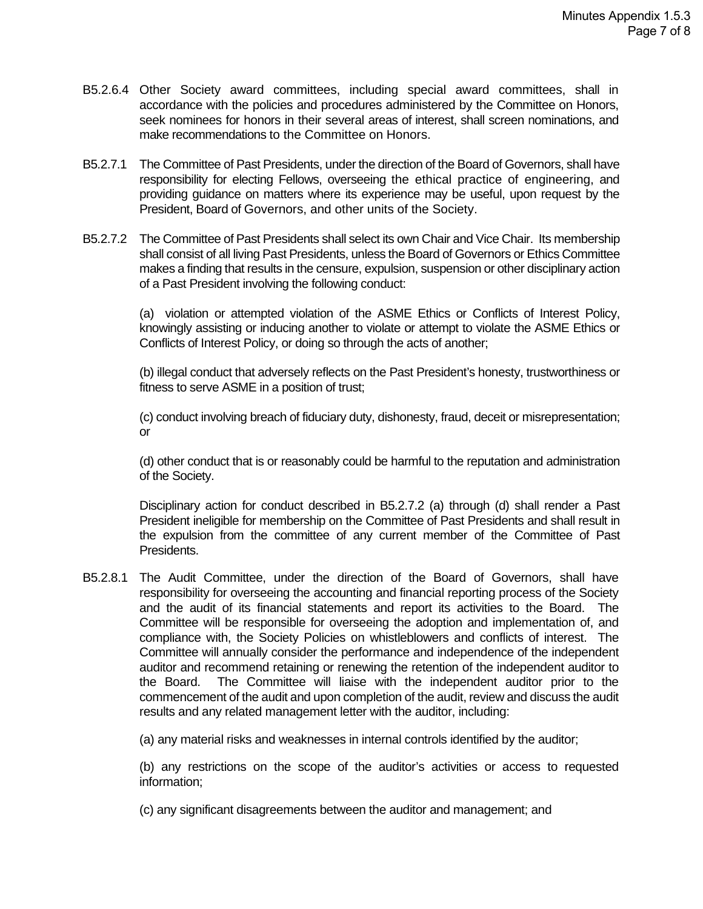- B5.2.6.4 Other Society award committees, including special award committees, shall in accordance with the policies and procedures administered by the Committee on Honors, seek nominees for honors in their several areas of interest, shall screen nominations, and make recommendations to the Committee on Honors.
- B5.2.7.1 The Committee of Past Presidents, under the direction of the Board of Governors, shall have responsibility for electing Fellows, overseeing the ethical practice of engineering, and providing guidance on matters where its experience may be useful, upon request by the President, Board of Governors, and other units of the Society.
- B5.2.7.2 The Committee of Past Presidents shall select its own Chair and Vice Chair. Its membership shall consist of all living Past Presidents, unless the Board of Governors or Ethics Committee makes a finding that results in the censure, expulsion, suspension or other disciplinary action of a Past President involving the following conduct:

(a) violation or attempted violation of the ASME Ethics or Conflicts of Interest Policy, knowingly assisting or inducing another to violate or attempt to violate the ASME Ethics or Conflicts of Interest Policy, or doing so through the acts of another;

(b) illegal conduct that adversely reflects on the Past President's honesty, trustworthiness or fitness to serve ASME in a position of trust;

(c) conduct involving breach of fiduciary duty, dishonesty, fraud, deceit or misrepresentation; or

(d) other conduct that is or reasonably could be harmful to the reputation and administration of the Society.

Disciplinary action for conduct described in B5.2.7.2 (a) through (d) shall render a Past President ineligible for membership on the Committee of Past Presidents and shall result in the expulsion from the committee of any current member of the Committee of Past Presidents.

B5.2.8.1 The Audit Committee, under the direction of the Board of Governors, shall have responsibility for overseeing the accounting and financial reporting process of the Society and the audit of its financial statements and report its activities to the Board. The Committee will be responsible for overseeing the adoption and implementation of, and compliance with, the Society Policies on whistleblowers and conflicts of interest. The Committee will annually consider the performance and independence of the independent auditor and recommend retaining or renewing the retention of the independent auditor to the Board. The Committee will liaise with the independent auditor prior to the commencement of the audit and upon completion of the audit, review and discuss the audit results and any related management letter with the auditor, including:

(a) any material risks and weaknesses in internal controls identified by the auditor;

(b) any restrictions on the scope of the auditor's activities or access to requested information;

(c) any significant disagreements between the auditor and management; and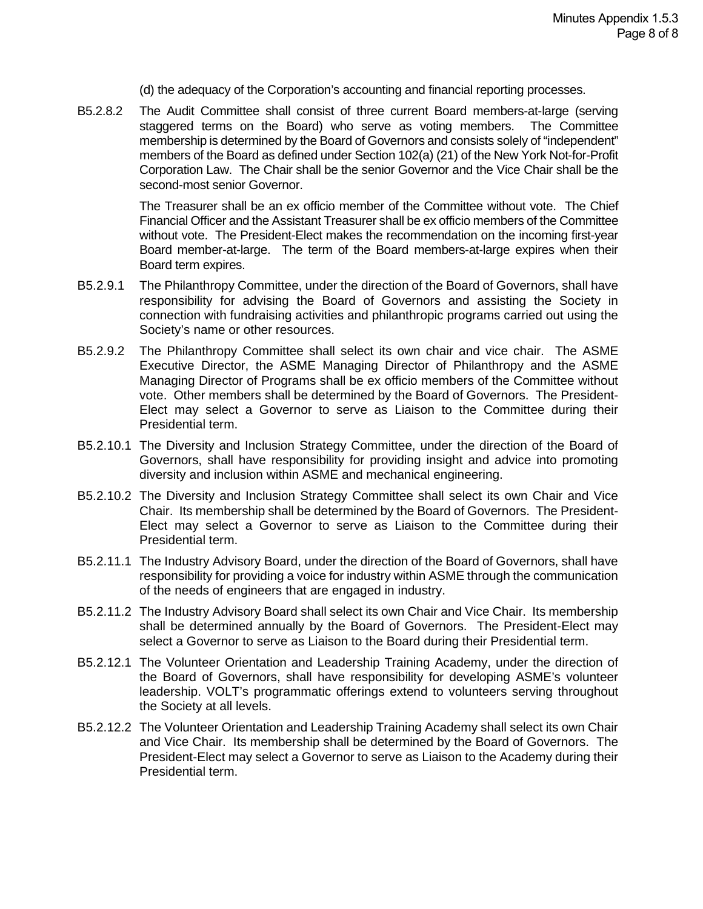(d) the adequacy of the Corporation's accounting and financial reporting processes.

B5.2.8.2 The Audit Committee shall consist of three current Board members-at-large (serving staggered terms on the Board) who serve as voting members. The Committee membership is determined by the Board of Governors and consists solely of "independent" members of the Board as defined under Section 102(a) (21) of the New York Not-for-Profit Corporation Law. The Chair shall be the senior Governor and the Vice Chair shall be the second-most senior Governor.

> The Treasurer shall be an ex officio member of the Committee without vote. The Chief Financial Officer and the Assistant Treasurer shall be ex officio members of the Committee without vote. The President-Elect makes the recommendation on the incoming first-year Board member-at-large. The term of the Board members-at-large expires when their Board term expires.

- B5.2.9.1 The Philanthropy Committee, under the direction of the Board of Governors, shall have responsibility for advising the Board of Governors and assisting the Society in connection with fundraising activities and philanthropic programs carried out using the Society's name or other resources.
- B5.2.9.2 The Philanthropy Committee shall select its own chair and vice chair. The ASME Executive Director, the ASME Managing Director of Philanthropy and the ASME Managing Director of Programs shall be ex officio members of the Committee without vote. Other members shall be determined by the Board of Governors. The President-Elect may select a Governor to serve as Liaison to the Committee during their Presidential term.
- B5.2.10.1 The Diversity and Inclusion Strategy Committee, under the direction of the Board of Governors, shall have responsibility for providing insight and advice into promoting diversity and inclusion within ASME and mechanical engineering.
- B5.2.10.2 The Diversity and Inclusion Strategy Committee shall select its own Chair and Vice Chair. Its membership shall be determined by the Board of Governors. The President-Elect may select a Governor to serve as Liaison to the Committee during their Presidential term.
- B5.2.11.1 The Industry Advisory Board, under the direction of the Board of Governors, shall have responsibility for providing a voice for industry within ASME through the communication of the needs of engineers that are engaged in industry.
- B5.2.11.2 The Industry Advisory Board shall select its own Chair and Vice Chair. Its membership shall be determined annually by the Board of Governors. The President-Elect may select a Governor to serve as Liaison to the Board during their Presidential term.
- B5.2.12.1 The Volunteer Orientation and Leadership Training Academy, under the direction of the Board of Governors, shall have responsibility for developing ASME's volunteer leadership. VOLT's programmatic offerings extend to volunteers serving throughout the Society at all levels.
- B5.2.12.2 The Volunteer Orientation and Leadership Training Academy shall select its own Chair and Vice Chair. Its membership shall be determined by the Board of Governors. The President-Elect may select a Governor to serve as Liaison to the Academy during their Presidential term.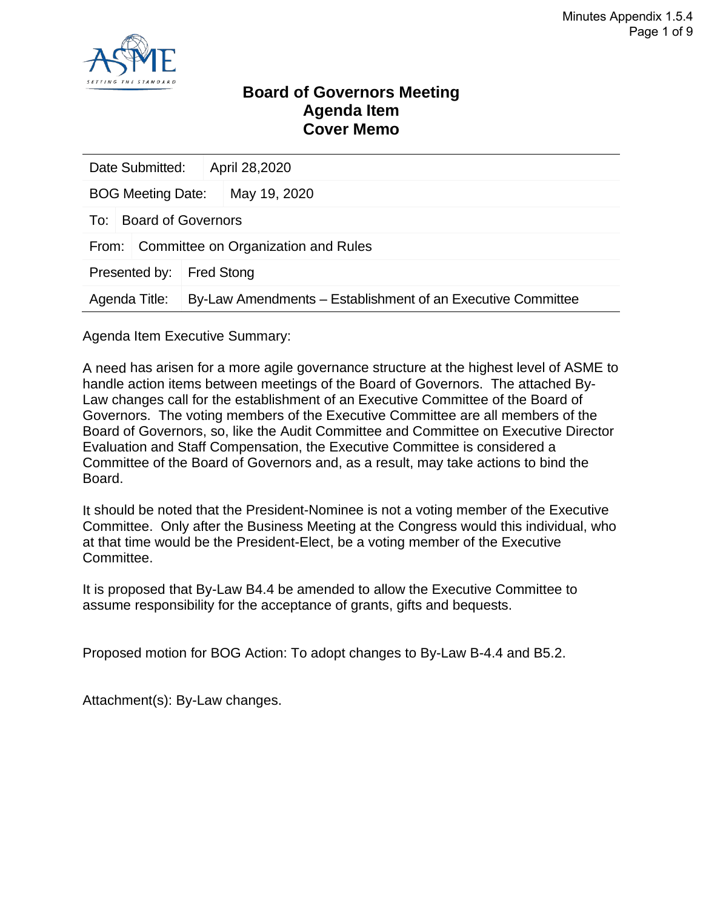

### **Board of Governors Meeting Agenda Item Cover Memo**

|                                                                              | Date Submitted:    |  | April 28,2020 |  |  |
|------------------------------------------------------------------------------|--------------------|--|---------------|--|--|
| <b>BOG Meeting Date:</b>                                                     |                    |  | May 19, 2020  |  |  |
| To:                                                                          | Board of Governors |  |               |  |  |
| Committee on Organization and Rules<br>From:                                 |                    |  |               |  |  |
| Presented by:<br><b>Fred Stong</b>                                           |                    |  |               |  |  |
| By-Law Amendments – Establishment of an Executive Committee<br>Agenda Title: |                    |  |               |  |  |

Agenda Item Executive Summary:

A need has arisen for a more agile governance structure at the highest level of ASME to handle action items between meetings of the Board of Governors. The attached By-Law changes call for the establishment of an Executive Committee of the Board of Governors. The voting members of the Executive Committee are all members of the Board of Governors, so, like the Audit Committee and Committee on Executive Director Evaluation and Staff Compensation, the Executive Committee is considered a Committee of the Board of Governors and, as a result, may take actions to bind the Board.

It should be noted that the President-Nominee is not a voting member of the Executive Committee. Only after the Business Meeting at the Congress would this individual, who at that time would be the President-Elect, be a voting member of the Executive Committee.

It is proposed that By-Law B4.4 be amended to allow the Executive Committee to assume responsibility for the acceptance of grants, gifts and bequests.

Proposed motion for BOG Action: To adopt changes to By-Law B-4.4 and B5.2.

Attachment(s): By-Law changes.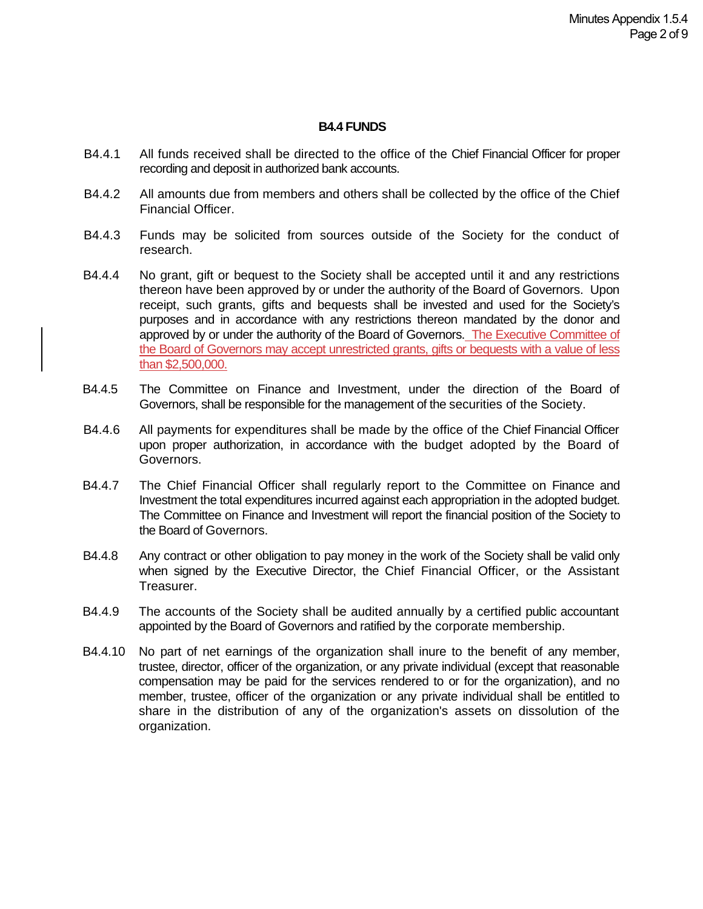#### **B4.4 FUNDS**

- B4.4.1 All funds received shall be directed to the office of the Chief Financial Officer for proper recording and deposit in authorized bank accounts.
- B4.4.2 All amounts due from members and others shall be collected by the office of the Chief Financial Officer.
- B4.4.3 Funds may be solicited from sources outside of the Society for the conduct of research.
- B4.4.4 No grant, gift or bequest to the Society shall be accepted until it and any restrictions thereon have been approved by or under the authority of the Board of Governors. Upon receipt, such grants, gifts and bequests shall be invested and used for the Society's purposes and in accordance with any restrictions thereon mandated by the donor and approved by or under the authority of the Board of Governors. The Executive Committee of the Board of Governors may accept unrestricted grants, gifts or bequests with a value of less than \$2,500,000.
- B4.4.5 The Committee on Finance and Investment, under the direction of the Board of Governors, shall be responsible for the management of the securities of the Society.
- B4.4.6 All payments for expenditures shall be made by the office of the Chief Financial Officer upon proper authorization, in accordance with the budget adopted by the Board of Governors.
- B4.4.7 The Chief Financial Officer shall regularly report to the Committee on Finance and Investment the total expenditures incurred against each appropriation in the adopted budget. The Committee on Finance and Investment will report the financial position of the Society to the Board of Governors.
- B4.4.8 Any contract or other obligation to pay money in the work of the Society shall be valid only when signed by the Executive Director, the Chief Financial Officer, or the Assistant Treasurer.
- B4.4.9 The accounts of the Society shall be audited annually by a certified public accountant appointed by the Board of Governors and ratified by the corporate membership.
- B4.4.10 No part of net earnings of the organization shall inure to the benefit of any member, trustee, director, officer of the organization, or any private individual (except that reasonable compensation may be paid for the services rendered to or for the organization), and no member, trustee, officer of the organization or any private individual shall be entitled to share in the distribution of any of the organization's assets on dissolution of the organization.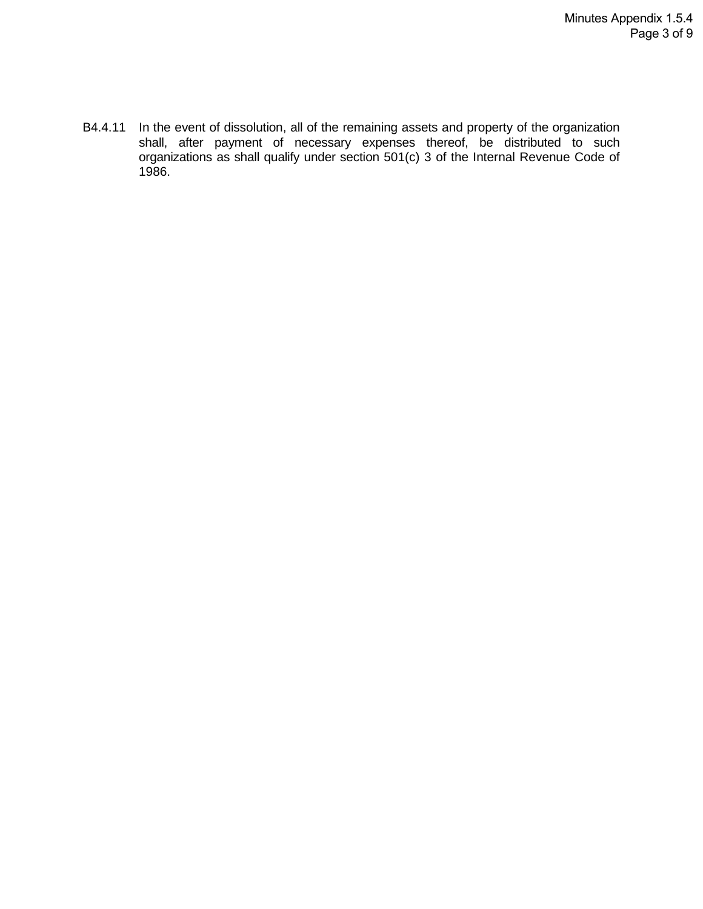B4.4.11 In the event of dissolution, all of the remaining assets and property of the organization shall, after payment of necessary expenses thereof, be distributed to such organizations as shall qualify under section 501(c) 3 of the Internal Revenue Code of 1986.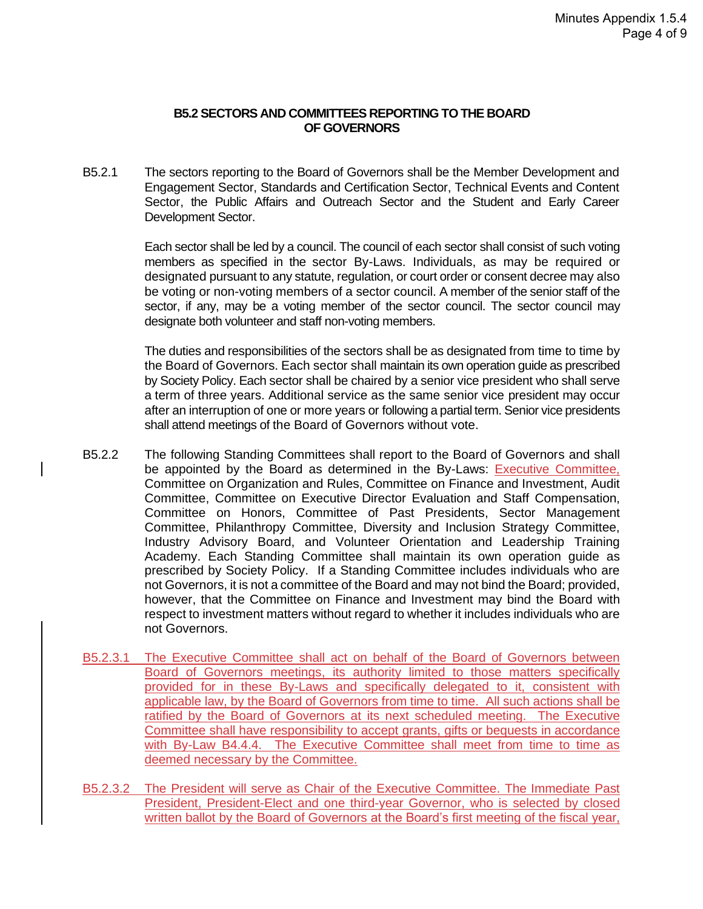#### **B5.2 SECTORS AND COMMITTEES REPORTING TO THE BOARD OF GOVERNORS**

B5.2.1 The sectors reporting to the Board of Governors shall be the Member Development and Engagement Sector, Standards and Certification Sector, Technical Events and Content Sector, the Public Affairs and Outreach Sector and the Student and Early Career Development Sector.

> Each sector shall be led by a council. The council of each sector shall consist of such voting members as specified in the sector By-Laws. Individuals, as may be required or designated pursuant to any statute, regulation, or court order or consent decree may also be voting or non-voting members of a sector council. A member of the senior staff of the sector, if any, may be a voting member of the sector council. The sector council may designate both volunteer and staff non-voting members.

> The duties and responsibilities of the sectors shall be as designated from time to time by the Board of Governors. Each sector shall maintain its own operation guide as prescribed by Society Policy. Each sector shall be chaired by a senior vice president who shall serve a term of three years. Additional service as the same senior vice president may occur after an interruption of one or more years or following a partial term. Senior vice presidents shall attend meetings of the Board of Governors without vote.

- B5.2.2 The following Standing Committees shall report to the Board of Governors and shall be appointed by the Board as determined in the By-Laws: Executive Committee, Committee on Organization and Rules, Committee on Finance and Investment, Audit Committee, Committee on Executive Director Evaluation and Staff Compensation, Committee on Honors, Committee of Past Presidents, Sector Management Committee, Philanthropy Committee, Diversity and Inclusion Strategy Committee, Industry Advisory Board, and Volunteer Orientation and Leadership Training Academy. Each Standing Committee shall maintain its own operation guide as prescribed by Society Policy. If a Standing Committee includes individuals who are not Governors, it is not a committee of the Board and may not bind the Board; provided, however, that the Committee on Finance and Investment may bind the Board with respect to investment matters without regard to whether it includes individuals who are not Governors.
- B5.2.3.1 The Executive Committee shall act on behalf of the Board of Governors between Board of Governors meetings, its authority limited to those matters specifically provided for in these By-Laws and specifically delegated to it, consistent with applicable law, by the Board of Governors from time to time. All such actions shall be ratified by the Board of Governors at its next scheduled meeting. The Executive Committee shall have responsibility to accept grants, gifts or bequests in accordance with By-Law B4.4.4. The Executive Committee shall meet from time to time as deemed necessary by the Committee.
- B5.2.3.2 The President will serve as Chair of the Executive Committee. The Immediate Past President, President-Elect and one third-year Governor, who is selected by closed written ballot by the Board of Governors at the Board's first meeting of the fiscal year,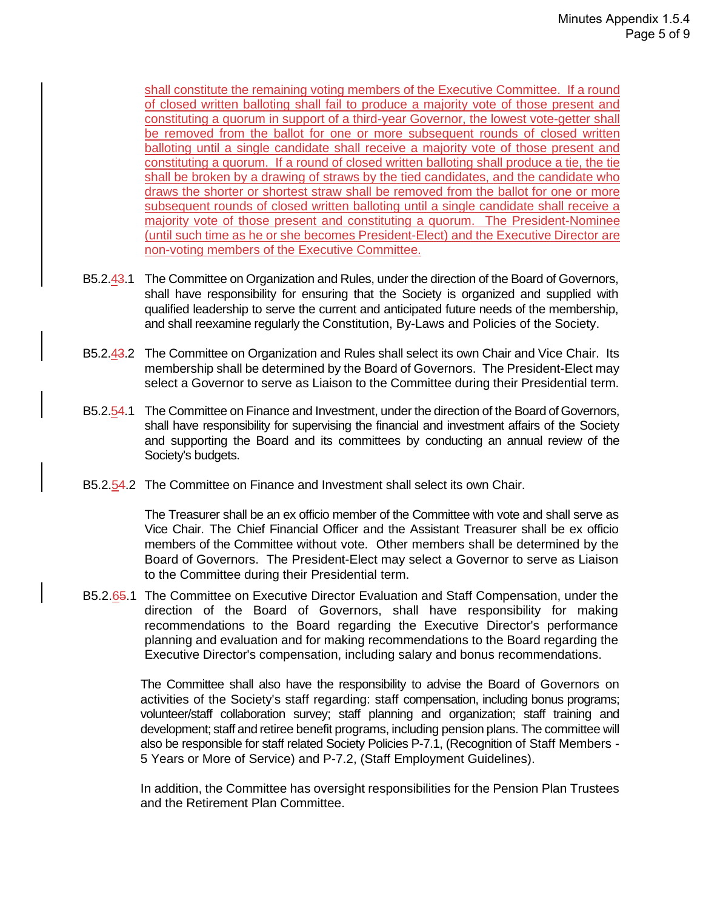shall constitute the remaining voting members of the Executive Committee. If a round of closed written balloting shall fail to produce a majority vote of those present and constituting a quorum in support of a third-year Governor, the lowest vote-getter shall be removed from the ballot for one or more subsequent rounds of closed written balloting until a single candidate shall receive a majority vote of those present and constituting a quorum. If a round of closed written balloting shall produce a tie, the tie shall be broken by a drawing of straws by the tied candidates, and the candidate who draws the shorter or shortest straw shall be removed from the ballot for one or more subsequent rounds of closed written balloting until a single candidate shall receive a majority vote of those present and constituting a quorum. The President-Nominee (until such time as he or she becomes President-Elect) and the Executive Director are non-voting members of the Executive Committee.

- B5.2.43.1 The Committee on Organization and Rules, under the direction of the Board of Governors, shall have responsibility for ensuring that the Society is organized and supplied with qualified leadership to serve the current and anticipated future needs of the membership, and shall reexamine regularly the Constitution, By-Laws and Policies of the Society.
- B5.2.43.2 The Committee on Organization and Rules shall select its own Chair and Vice Chair. Its membership shall be determined by the Board of Governors. The President-Elect may select a Governor to serve as Liaison to the Committee during their Presidential term.
- B5.2.54.1 The Committee on Finance and Investment, under the direction of the Board of Governors, shall have responsibility for supervising the financial and investment affairs of the Society and supporting the Board and its committees by conducting an annual review of the Society's budgets.
- B5.2.54.2 The Committee on Finance and Investment shall select its own Chair.

The Treasurer shall be an ex officio member of the Committee with vote and shall serve as Vice Chair. The Chief Financial Officer and the Assistant Treasurer shall be ex officio members of the Committee without vote. Other members shall be determined by the Board of Governors. The President-Elect may select a Governor to serve as Liaison to the Committee during their Presidential term.

B5.2.65.1 The Committee on Executive Director Evaluation and Staff Compensation, under the direction of the Board of Governors, shall have responsibility for making recommendations to the Board regarding the Executive Director's performance planning and evaluation and for making recommendations to the Board regarding the Executive Director's compensation, including salary and bonus recommendations.

> The Committee shall also have the responsibility to advise the Board of Governors on activities of the Society's staff regarding: staff compensation, including bonus programs; volunteer/staff collaboration survey; staff planning and organization; staff training and development; staff and retiree benefit programs, including pension plans. The committee will also be responsible for staff related Society Policies P-7.1, (Recognition of Staff Members - 5 Years or More of Service) and P-7.2, (Staff Employment Guidelines).

> In addition, the Committee has oversight responsibilities for the Pension Plan Trustees and the Retirement Plan Committee.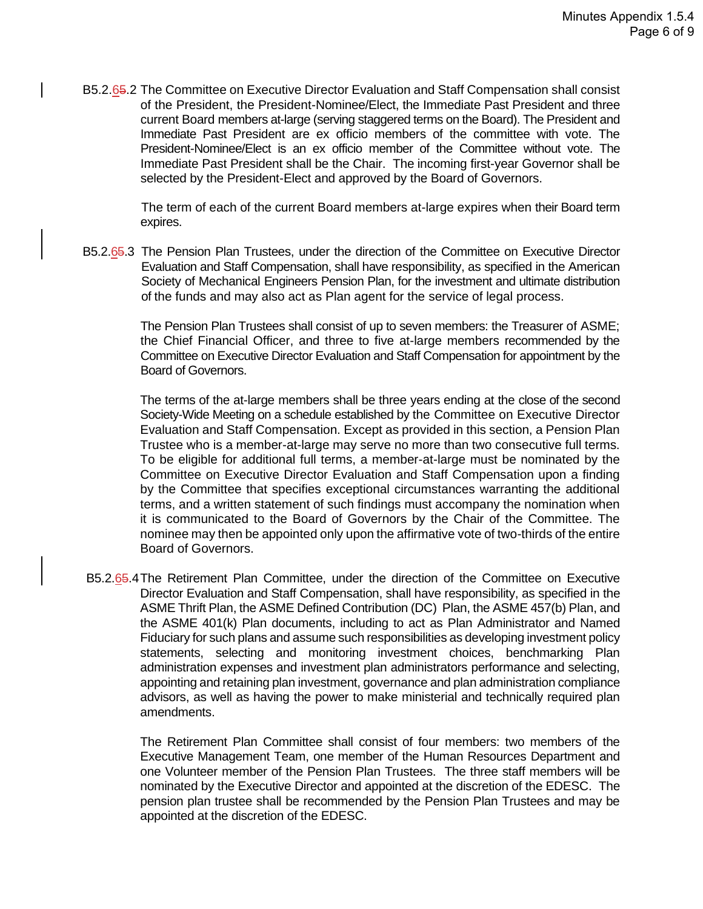B5.2.65.2 The Committee on Executive Director Evaluation and Staff Compensation shall consist of the President, the President-Nominee/Elect, the Immediate Past President and three current Board members at-large (serving staggered terms on the Board). The President and Immediate Past President are ex officio members of the committee with vote. The President-Nominee/Elect is an ex officio member of the Committee without vote. The Immediate Past President shall be the Chair. The incoming first-year Governor shall be selected by the President-Elect and approved by the Board of Governors.

> The term of each of the current Board members at-large expires when their Board term expires.

B5.2.65.3 The Pension Plan Trustees, under the direction of the Committee on Executive Director Evaluation and Staff Compensation, shall have responsibility, as specified in the American Society of Mechanical Engineers Pension Plan, for the investment and ultimate distribution of the funds and may also act as Plan agent for the service of legal process.

> The Pension Plan Trustees shall consist of up to seven members: the Treasurer of ASME; the Chief Financial Officer, and three to five at-large members recommended by the Committee on Executive Director Evaluation and Staff Compensation for appointment by the Board of Governors.

> The terms of the at-large members shall be three years ending at the close of the second Society-Wide Meeting on a schedule established by the Committee on Executive Director Evaluation and Staff Compensation. Except as provided in this section, a Pension Plan Trustee who is a member-at-large may serve no more than two consecutive full terms. To be eligible for additional full terms, a member-at-large must be nominated by the Committee on Executive Director Evaluation and Staff Compensation upon a finding by the Committee that specifies exceptional circumstances warranting the additional terms, and a written statement of such findings must accompany the nomination when it is communicated to the Board of Governors by the Chair of the Committee. The nominee may then be appointed only upon the affirmative vote of two-thirds of the entire Board of Governors.

B5.2.65.4The Retirement Plan Committee, under the direction of the Committee on Executive Director Evaluation and Staff Compensation, shall have responsibility, as specified in the ASME Thrift Plan, the ASME Defined Contribution (DC) Plan, the ASME 457(b) Plan, and the ASME 401(k) Plan documents, including to act as Plan Administrator and Named Fiduciary for such plans and assume such responsibilities as developing investment policy statements, selecting and monitoring investment choices, benchmarking Plan administration expenses and investment plan administrators performance and selecting, appointing and retaining plan investment, governance and plan administration compliance advisors, as well as having the power to make ministerial and technically required plan amendments.

The Retirement Plan Committee shall consist of four members: two members of the Executive Management Team, one member of the Human Resources Department and one Volunteer member of the Pension Plan Trustees. The three staff members will be nominated by the Executive Director and appointed at the discretion of the EDESC. The pension plan trustee shall be recommended by the Pension Plan Trustees and may be appointed at the discretion of the EDESC.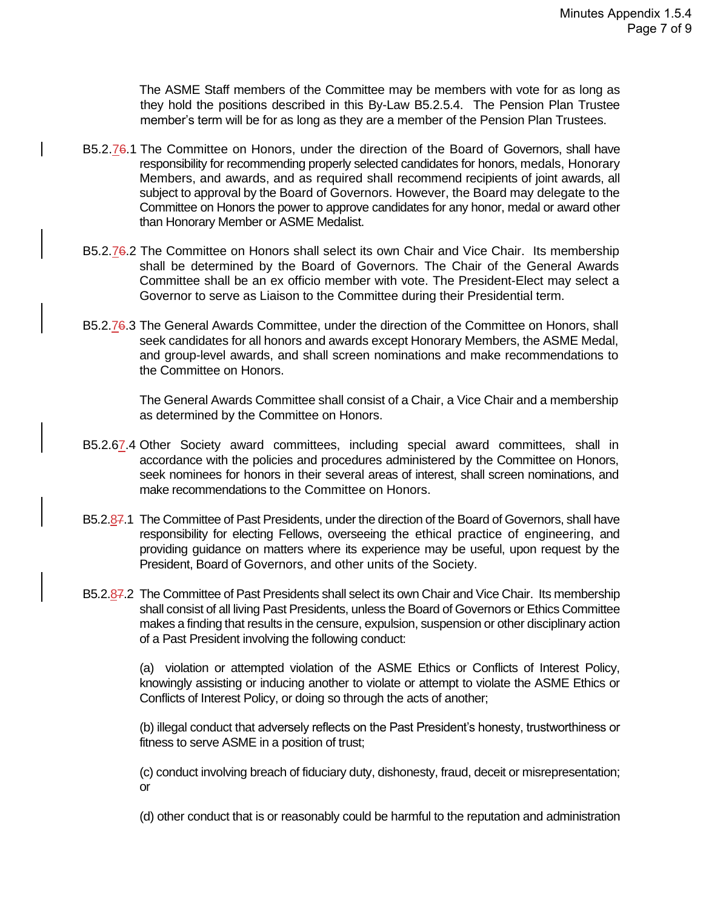The ASME Staff members of the Committee may be members with vote for as long as they hold the positions described in this By-Law B5.2.5.4. The Pension Plan Trustee member's term will be for as long as they are a member of the Pension Plan Trustees.

- B5.2.76.1 The Committee on Honors, under the direction of the Board of Governors, shall have responsibility for recommending properly selected candidates for honors, medals, Honorary Members, and awards, and as required shall recommend recipients of joint awards, all subject to approval by the Board of Governors. However, the Board may delegate to the Committee on Honors the power to approve candidates for any honor, medal or award other than Honorary Member or ASME Medalist.
- B5.2.76.2 The Committee on Honors shall select its own Chair and Vice Chair. Its membership shall be determined by the Board of Governors. The Chair of the General Awards Committee shall be an ex officio member with vote. The President-Elect may select a Governor to serve as Liaison to the Committee during their Presidential term.
- B5.2.76.3 The General Awards Committee, under the direction of the Committee on Honors, shall seek candidates for all honors and awards except Honorary Members, the ASME Medal, and group-level awards, and shall screen nominations and make recommendations to the Committee on Honors.

The General Awards Committee shall consist of a Chair, a Vice Chair and a membership as determined by the Committee on Honors.

- B5.2.67.4 Other Society award committees, including special award committees, shall in accordance with the policies and procedures administered by the Committee on Honors, seek nominees for honors in their several areas of interest, shall screen nominations, and make recommendations to the Committee on Honors.
- B5.2.87.1 The Committee of Past Presidents, under the direction of the Board of Governors, shall have responsibility for electing Fellows, overseeing the ethical practice of engineering, and providing guidance on matters where its experience may be useful, upon request by the President, Board of Governors, and other units of the Society.
- B5.2.87.2 The Committee of Past Presidents shall select its own Chair and Vice Chair. Its membership shall consist of all living Past Presidents, unless the Board of Governors or Ethics Committee makes a finding that results in the censure, expulsion, suspension or other disciplinary action of a Past President involving the following conduct:

(a) violation or attempted violation of the ASME Ethics or Conflicts of Interest Policy, knowingly assisting or inducing another to violate or attempt to violate the ASME Ethics or Conflicts of Interest Policy, or doing so through the acts of another;

(b) illegal conduct that adversely reflects on the Past President's honesty, trustworthiness or fitness to serve ASME in a position of trust;

(c) conduct involving breach of fiduciary duty, dishonesty, fraud, deceit or misrepresentation; or

(d) other conduct that is or reasonably could be harmful to the reputation and administration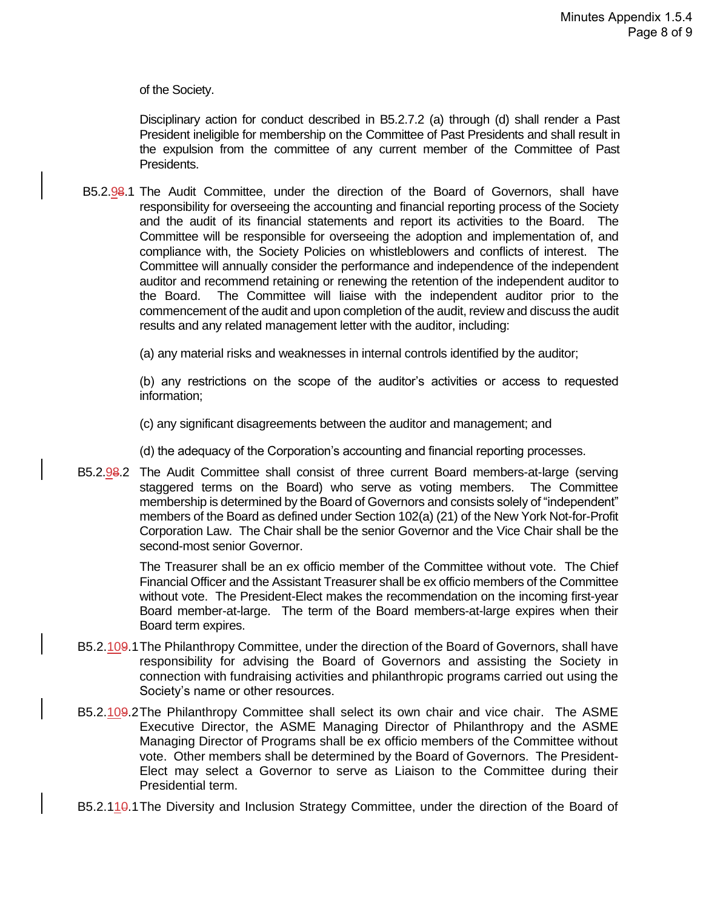of the Society.

Disciplinary action for conduct described in B5.2.7.2 (a) through (d) shall render a Past President ineligible for membership on the Committee of Past Presidents and shall result in the expulsion from the committee of any current member of the Committee of Past Presidents.

B5.2.98.1 The Audit Committee, under the direction of the Board of Governors, shall have responsibility for overseeing the accounting and financial reporting process of the Society and the audit of its financial statements and report its activities to the Board. The Committee will be responsible for overseeing the adoption and implementation of, and compliance with, the Society Policies on whistleblowers and conflicts of interest. The Committee will annually consider the performance and independence of the independent auditor and recommend retaining or renewing the retention of the independent auditor to the Board. The Committee will liaise with the independent auditor prior to the commencement of the audit and upon completion of the audit, review and discuss the audit results and any related management letter with the auditor, including:

(a) any material risks and weaknesses in internal controls identified by the auditor;

(b) any restrictions on the scope of the auditor's activities or access to requested information;

(c) any significant disagreements between the auditor and management; and

(d) the adequacy of the Corporation's accounting and financial reporting processes.

B5.2.98.2 The Audit Committee shall consist of three current Board members-at-large (serving staggered terms on the Board) who serve as voting members. The Committee membership is determined by the Board of Governors and consists solely of "independent" members of the Board as defined under Section 102(a) (21) of the New York Not-for-Profit Corporation Law. The Chair shall be the senior Governor and the Vice Chair shall be the second-most senior Governor.

> The Treasurer shall be an ex officio member of the Committee without vote. The Chief Financial Officer and the Assistant Treasurer shall be ex officio members of the Committee without vote. The President-Elect makes the recommendation on the incoming first-year Board member-at-large. The term of the Board members-at-large expires when their Board term expires.

- B5.2.109.1The Philanthropy Committee, under the direction of the Board of Governors, shall have responsibility for advising the Board of Governors and assisting the Society in connection with fundraising activities and philanthropic programs carried out using the Society's name or other resources.
- B5.2.109.2The Philanthropy Committee shall select its own chair and vice chair. The ASME Executive Director, the ASME Managing Director of Philanthropy and the ASME Managing Director of Programs shall be ex officio members of the Committee without vote. Other members shall be determined by the Board of Governors. The President-Elect may select a Governor to serve as Liaison to the Committee during their Presidential term.

B5.2.110.1 The Diversity and Inclusion Strategy Committee, under the direction of the Board of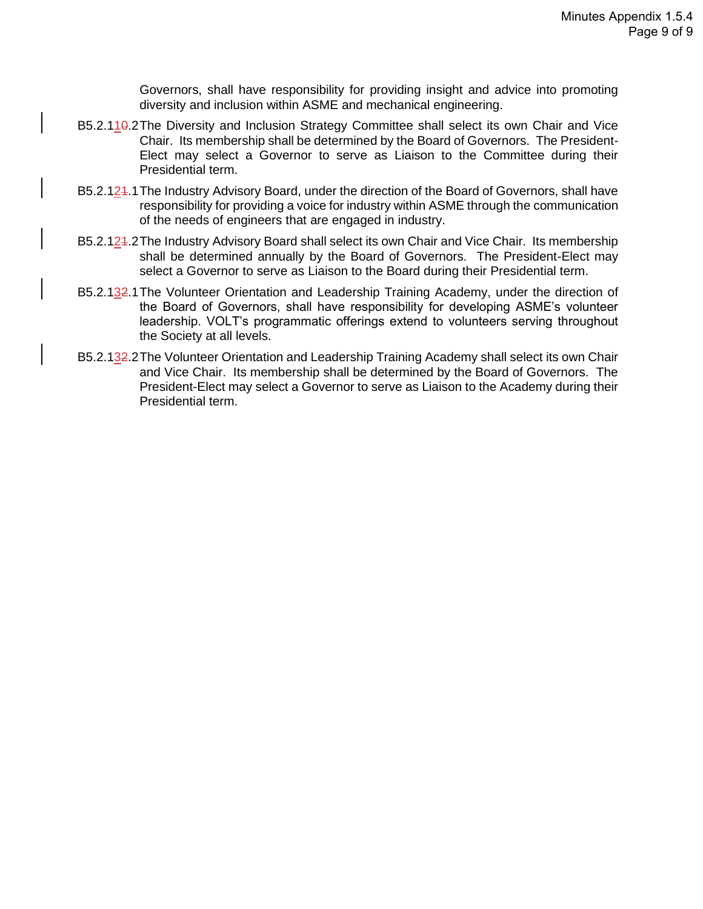Governors, shall have responsibility for providing insight and advice into promoting diversity and inclusion within ASME and mechanical engineering.

- B5.2.110.2The Diversity and Inclusion Strategy Committee shall select its own Chair and Vice Chair. Its membership shall be determined by the Board of Governors. The President-Elect may select a Governor to serve as Liaison to the Committee during their Presidential term.
- B5.2.124.1 The Industry Advisory Board, under the direction of the Board of Governors, shall have responsibility for providing a voice for industry within ASME through the communication of the needs of engineers that are engaged in industry.
- B5.2.124.2The Industry Advisory Board shall select its own Chair and Vice Chair. Its membership shall be determined annually by the Board of Governors. The President-Elect may select a Governor to serve as Liaison to the Board during their Presidential term.
- B5.2.132.1 The Volunteer Orientation and Leadership Training Academy, under the direction of the Board of Governors, shall have responsibility for developing ASME's volunteer leadership. VOLT's programmatic offerings extend to volunteers serving throughout the Society at all levels.
- B5.2.132.2The Volunteer Orientation and Leadership Training Academy shall select its own Chair and Vice Chair. Its membership shall be determined by the Board of Governors. The President-Elect may select a Governor to serve as Liaison to the Academy during their Presidential term.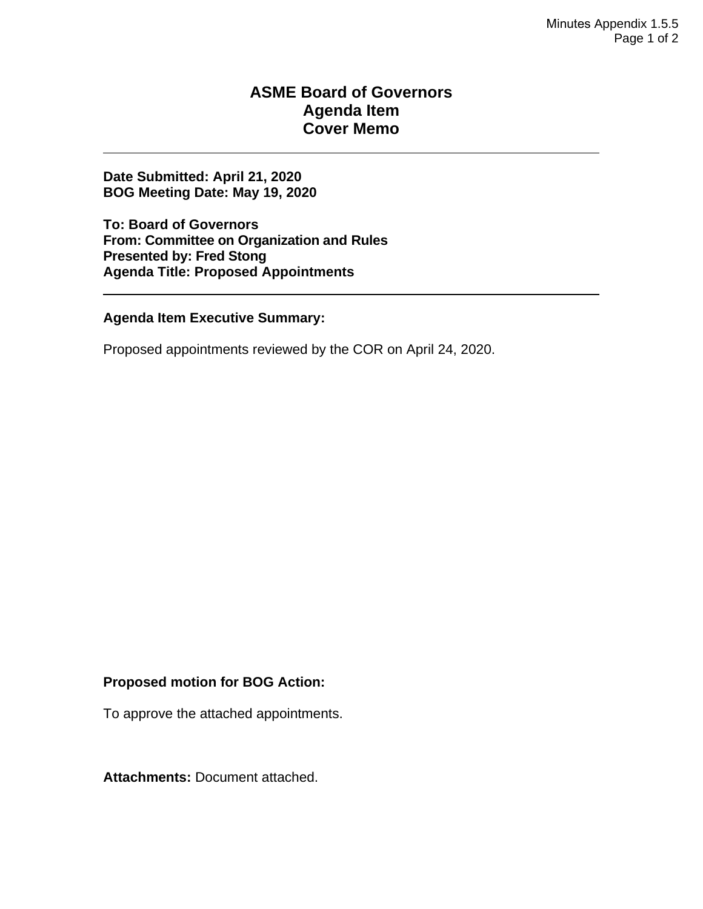### **ASME Board of Governors Agenda Item Cover Memo**

**Date Submitted: April 21, 2020 BOG Meeting Date: May 19, 2020**

**To: Board of Governors From: Committee on Organization and Rules Presented by: Fred Stong Agenda Title: Proposed Appointments**

**Agenda Item Executive Summary:**

Proposed appointments reviewed by the COR on April 24, 2020.

#### **Proposed motion for BOG Action:**

To approve the attached appointments.

**Attachments:** Document attached.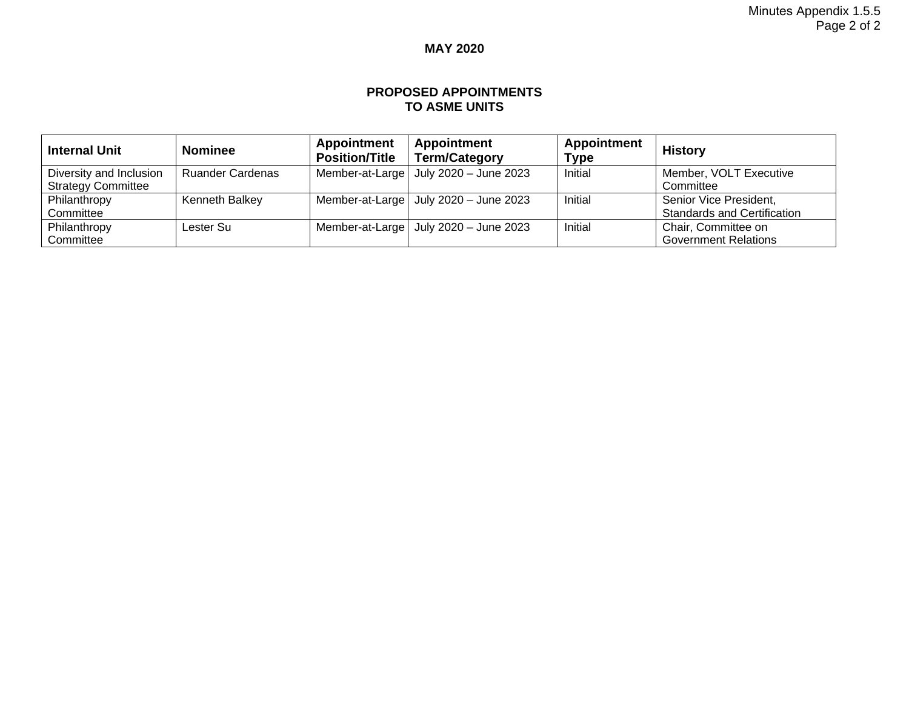### **MAY 2020**

#### **PROPOSED APPOINTMENTS TO ASME UNITS**

| <b>Internal Unit</b>      | <b>Nominee</b>          | <b>Appointment</b><br><b>Position/Title</b> | <b>Appointment</b><br><b>Term/Category</b>    | Appointment<br><b>Type</b> | <b>History</b>                     |
|---------------------------|-------------------------|---------------------------------------------|-----------------------------------------------|----------------------------|------------------------------------|
| Diversity and Inclusion   | <b>Ruander Cardenas</b> |                                             | Member-at-Large $\vert$ July 2020 - June 2023 | Initial                    | Member, VOLT Executive             |
| <b>Strategy Committee</b> |                         |                                             |                                               |                            | Committee                          |
| Philanthropy              | Kenneth Balkey          |                                             | Member-at-Large   July 2020 - June 2023       | Initial                    | Senior Vice President,             |
| Committee                 |                         |                                             |                                               |                            | <b>Standards and Certification</b> |
| Philanthropy              | Lester Su               |                                             | Member-at-Large $\vert$ July 2020 - June 2023 | Initial                    | Chair, Committee on                |
| Committee                 |                         |                                             |                                               |                            | <b>Government Relations</b>        |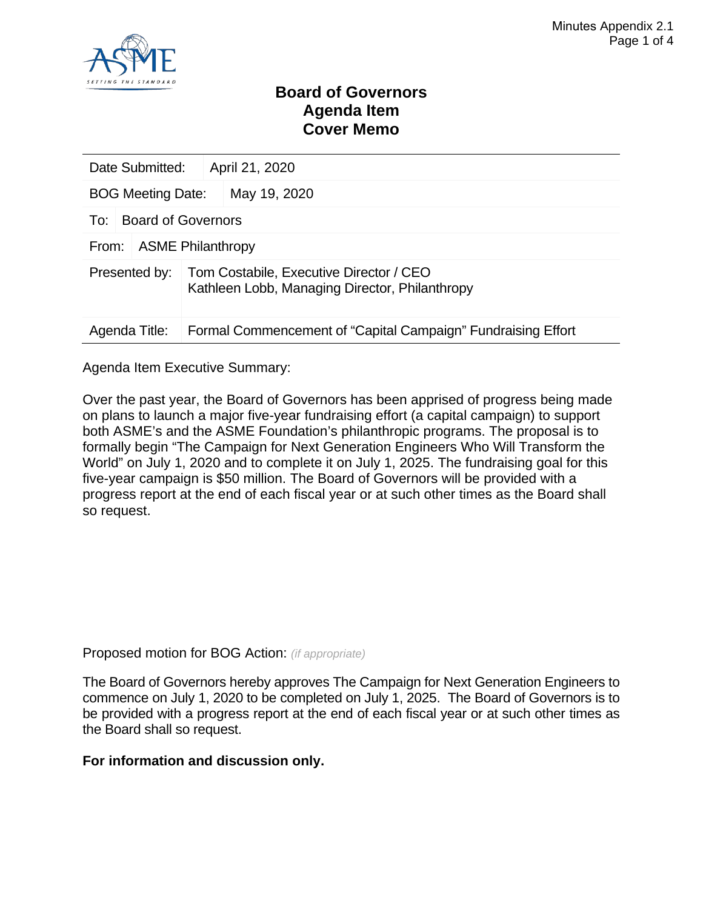

### **Board of Governors Agenda Item Cover Memo**

| Date Submitted:                   | April 21, 2020                                                                            |              |  |  |  |
|-----------------------------------|-------------------------------------------------------------------------------------------|--------------|--|--|--|
| <b>BOG Meeting Date:</b>          |                                                                                           | May 19, 2020 |  |  |  |
| To:                               | <b>Board of Governors</b>                                                                 |              |  |  |  |
| <b>ASME Philanthropy</b><br>From: |                                                                                           |              |  |  |  |
| Presented by:                     | Tom Costabile, Executive Director / CEO<br>Kathleen Lobb, Managing Director, Philanthropy |              |  |  |  |
| Agenda Title:                     | Formal Commencement of "Capital Campaign" Fundraising Effort                              |              |  |  |  |

Agenda Item Executive Summary:

Over the past year, the Board of Governors has been apprised of progress being made on plans to launch a major five-year fundraising effort (a capital campaign) to support both ASME's and the ASME Foundation's philanthropic programs. The proposal is to formally begin "The Campaign for Next Generation Engineers Who Will Transform the World" on July 1, 2020 and to complete it on July 1, 2025. The fundraising goal for this five-year campaign is \$50 million. The Board of Governors will be provided with a progress report at the end of each fiscal year or at such other times as the Board shall so request.

Proposed motion for BOG Action: *(if appropriate)*

The Board of Governors hereby approves The Campaign for Next Generation Engineers to commence on July 1, 2020 to be completed on July 1, 2025. The Board of Governors is to be provided with a progress report at the end of each fiscal year or at such other times as the Board shall so request.

#### **For information and discussion only.**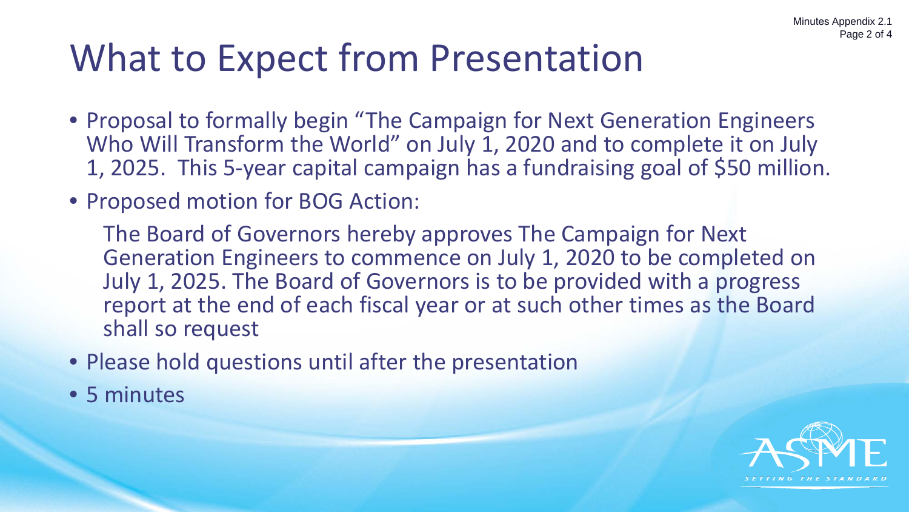# What to Expect from Presentation

- Proposal to formally begin "The Campaign for Next Generation Engineers Who Will Transform the World" on July 1, 2020 and to complete it on July 1, 2025. This 5-year capital campaign has a fundraising goal of \$50 million.
- Proposed motion for BOG Action:

The Board of Governors hereby approves The Campaign for Next Generation Engineers to commence on July 1, 2020 to be completed on July 1, 2025. The Board of Governors is to be provided with a progress report at the end of each fiscal year or at such other times as the Board shall so request

- Please hold questions until after the presentation
- 5 minutes

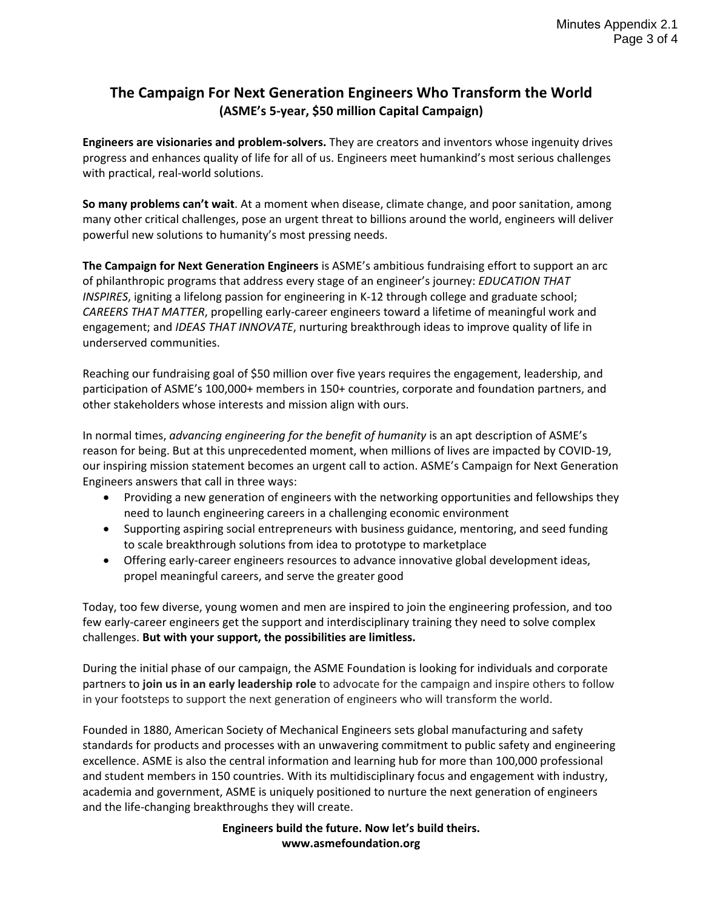### **The Campaign For Next Generation Engineers Who Transform the World (ASME's 5-year, \$50 million Capital Campaign)**

**Engineers are visionaries and problem-solvers.** They are creators and inventors whose ingenuity drives progress and enhances quality of life for all of us. Engineers meet humankind's most serious challenges with practical, real-world solutions.

**So many problems can't wait**. At a moment when disease, climate change, and poor sanitation, among many other critical challenges, pose an urgent threat to billions around the world, engineers will deliver powerful new solutions to humanity's most pressing needs.

**The Campaign for Next Generation Engineers** is ASME's ambitious fundraising effort to support an arc of philanthropic programs that address every stage of an engineer's journey: *EDUCATION THAT INSPIRES*, igniting a lifelong passion for engineering in K-12 through college and graduate school; *CAREERS THAT MATTER*, propelling early-career engineers toward a lifetime of meaningful work and engagement; and *IDEAS THAT INNOVATE*, nurturing breakthrough ideas to improve quality of life in underserved communities.

Reaching our fundraising goal of \$50 million over five years requires the engagement, leadership, and participation of ASME's 100,000+ members in 150+ countries, corporate and foundation partners, and other stakeholders whose interests and mission align with ours.

In normal times, *advancing engineering for the benefit of humanity* is an apt description of ASME's reason for being. But at this unprecedented moment, when millions of lives are impacted by COVID-19, our inspiring mission statement becomes an urgent call to action. ASME's Campaign for Next Generation Engineers answers that call in three ways:

- Providing a new generation of engineers with the networking opportunities and fellowships they need to launch engineering careers in a challenging economic environment
- Supporting aspiring social entrepreneurs with business guidance, mentoring, and seed funding to scale breakthrough solutions from idea to prototype to marketplace
- Offering early-career engineers resources to advance innovative global development ideas, propel meaningful careers, and serve the greater good

Today, too few diverse, young women and men are inspired to join the engineering profession, and too few early-career engineers get the support and interdisciplinary training they need to solve complex challenges. **But with your support, the possibilities are limitless.**

During the initial phase of our campaign, the ASME Foundation is looking for individuals and corporate partners to **join us in an early leadership role** to advocate for the campaign and inspire others to follow in your footsteps to support the next generation of engineers who will transform the world.

Founded in 1880, American Society of Mechanical Engineers sets global manufacturing and safety standards for products and processes with an unwavering commitment to public safety and engineering excellence. ASME is also the central information and learning hub for more than 100,000 professional and student members in 150 countries. With its multidisciplinary focus and engagement with industry, academia and government, ASME is uniquely positioned to nurture the next generation of engineers and the life-changing breakthroughs they will create.

> **Engineers build the future. Now let's build theirs. www.asmefoundation.org**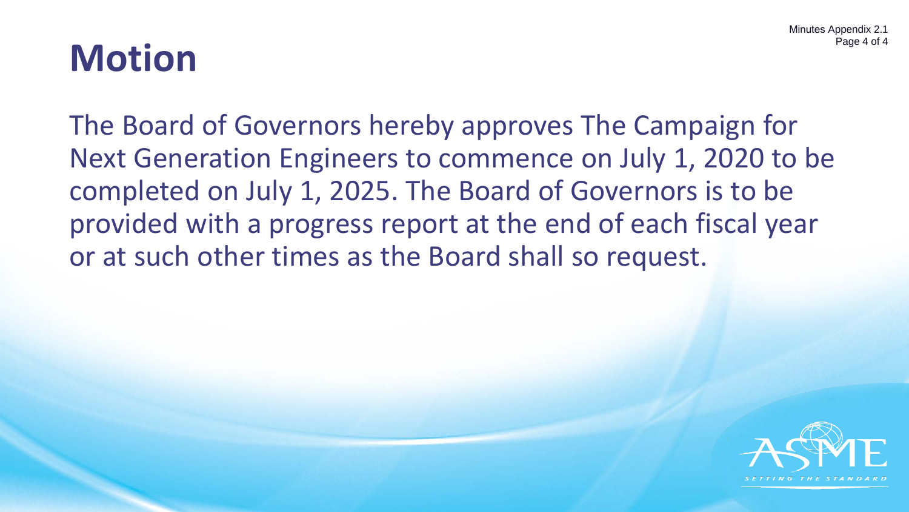Minutes Appendix 2.1 Page 4 of 4

# **Motion**

The Board of Governors hereby approves The Campaign for Next Generation Engineers to commence on July 1, 2020 to be completed on July 1, 2025. The Board of Governors is to be provided with a progress report at the end of each fiscal year or at such other times as the Board shall so request.

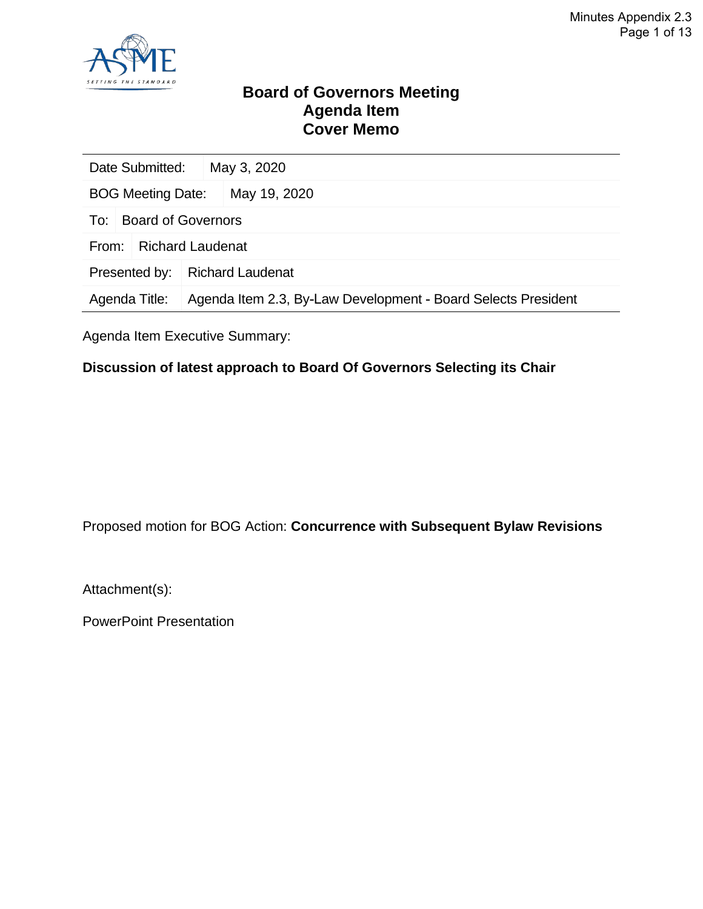

### **Board of Governors Meeting Agenda Item Cover Memo**

| Date Submitted:                                                                | May 3, 2020             |  |
|--------------------------------------------------------------------------------|-------------------------|--|
| <b>BOG Meeting Date:</b><br>May 19, 2020                                       |                         |  |
| Board of Governors<br>To:                                                      |                         |  |
| <b>Richard Laudenat</b><br>From:                                               |                         |  |
| Presented by:                                                                  | <b>Richard Laudenat</b> |  |
| Agenda Item 2.3, By-Law Development - Board Selects President<br>Agenda Title: |                         |  |

Agenda Item Executive Summary:

### **Discussion of latest approach to Board Of Governors Selecting its Chair**

Proposed motion for BOG Action: **Concurrence with Subsequent Bylaw Revisions**

Attachment(s):

PowerPoint Presentation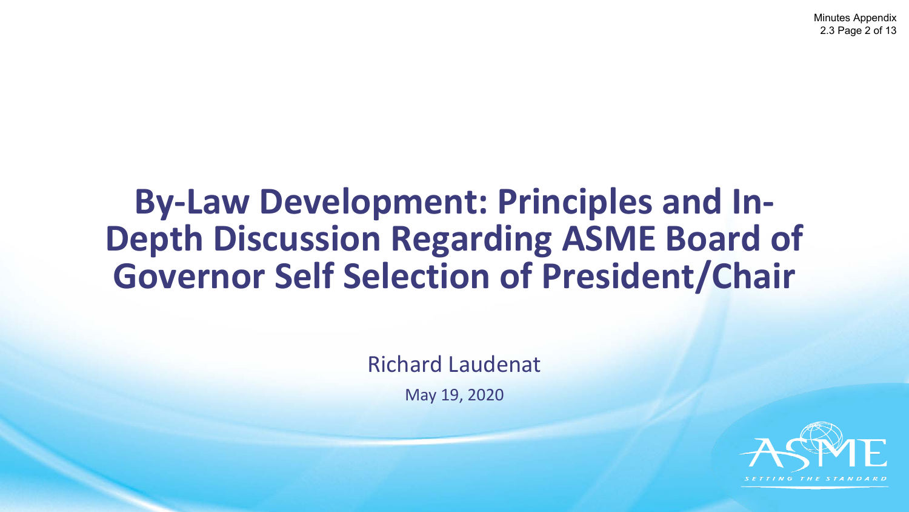### **By-Law Development: Principles and In-Depth Discussion Regarding ASME Board of Governor Self Selection of President/Chair**

Richard Laudenat

May 19, 2020

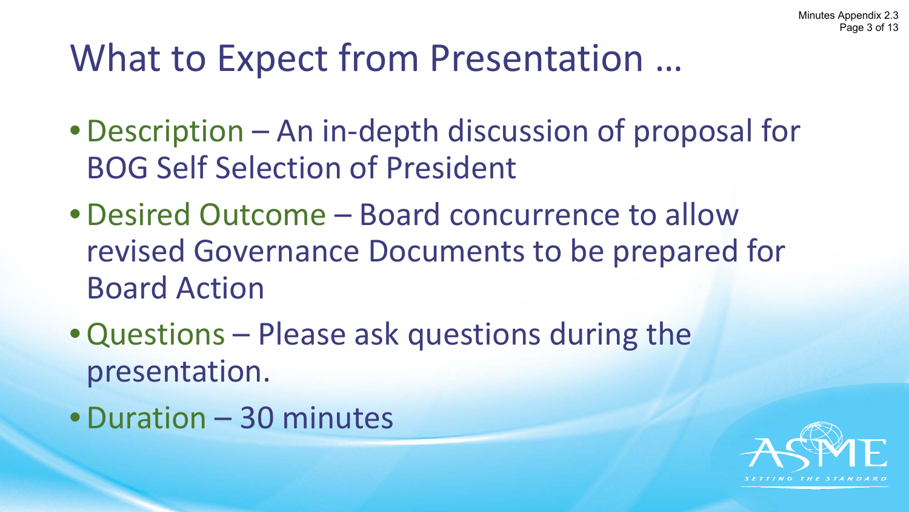# What to Expect from Presentation …

- •Description An in-depth discussion of proposal for BOG Self Selection of President
- •Desired Outcome Board concurrence to allow revised Governance Documents to be prepared for Board Action
- •Questions Please ask questions during the presentation.
- •Duration 30 minutes

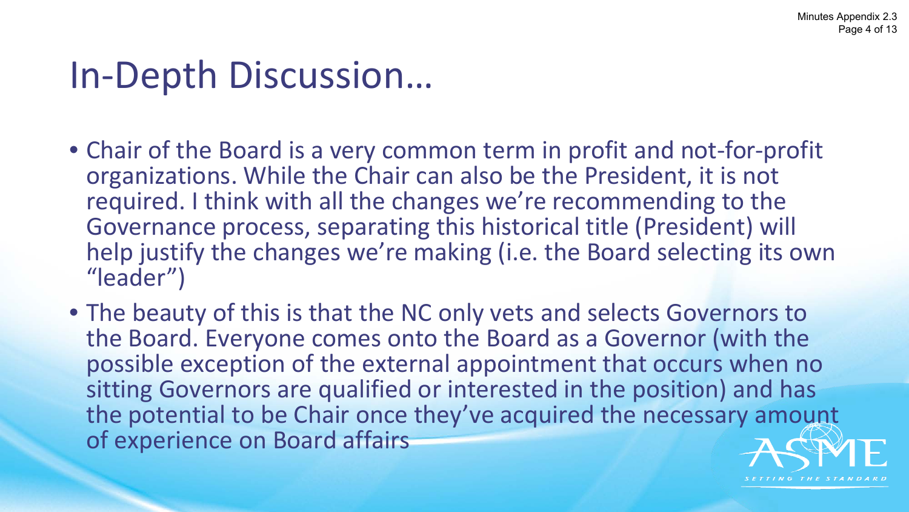# In-Depth Discussion…

- Chair of the Board is a very common term in profit and not-for-profit organizations. While the Chair can also be the President, it is not required. I think with all the changes we're recommending to the Governance process, separating this historical title (President) will help justify the changes we're making (i.e. the Board selecting its own "leader")
- The beauty of this is that the NC only vets and selects Governors to the Board. Everyone comes onto the Board as a Governor (with the possible exception of the external appointment that occurs when no sitting Governors are qualified or interested in the position) and has the potential to be Chair once they've acquired the necessary amount of experience on Board affairs

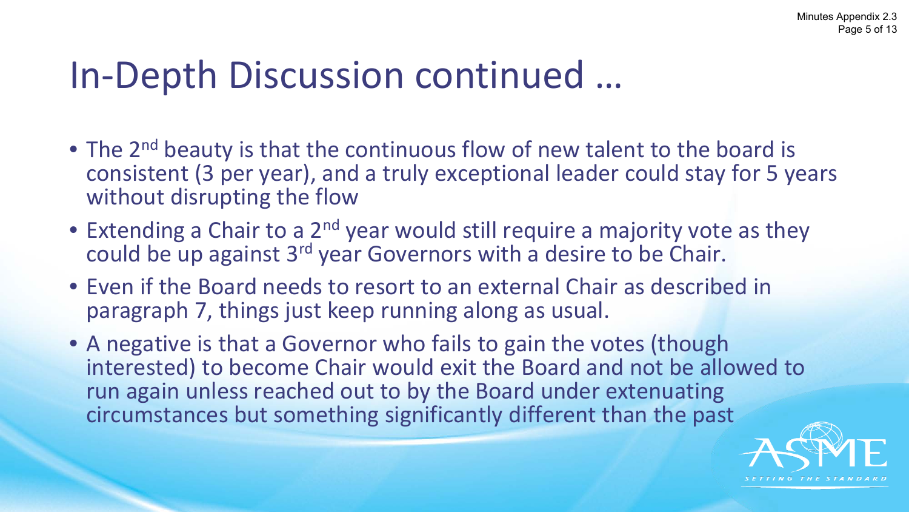# In-Depth Discussion continued …

- The 2<sup>nd</sup> beauty is that the continuous flow of new talent to the board is consistent (3 per year), and a truly exceptional leader could stay for 5 years without disrupting the flow
- Extending a Chair to a 2<sup>nd</sup> year would still require a majority vote as they could be up against 3<sup>rd</sup> year Governors with a desire to be Chair.
- Even if the Board needs to resort to an external Chair as described in paragraph 7, things just keep running along as usual.
- A negative is that a Governor who fails to gain the votes (though interested) to become Chair would exit the Board and not be allowed to run again unless reached out to by the Board under extenuating circumstances but something significantly different than the past

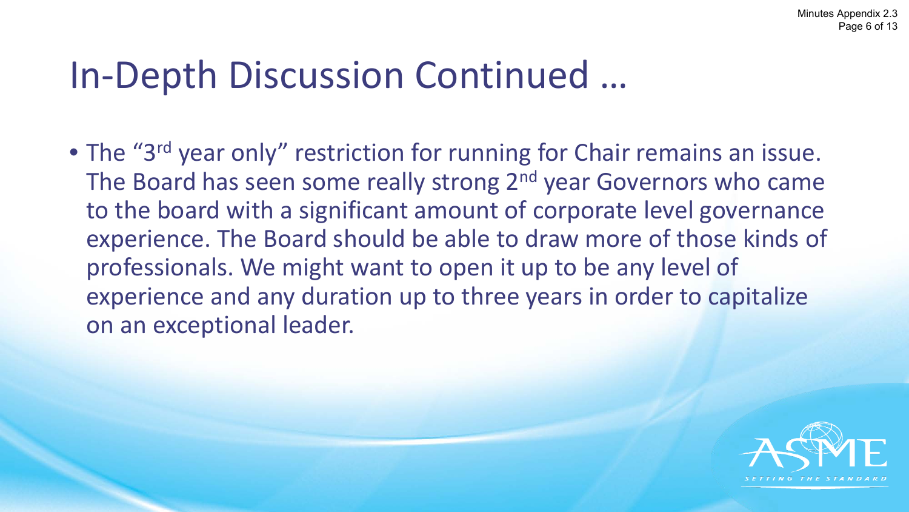# In-Depth Discussion Continued …

• The "3<sup>rd</sup> year only" restriction for running for Chair remains an issue. The Board has seen some really strong 2<sup>nd</sup> year Governors who came to the board with a significant amount of corporate level governance experience. The Board should be able to draw more of those kinds of professionals. We might want to open it up to be any level of experience and any duration up to three years in order to capitalize on an exceptional leader.

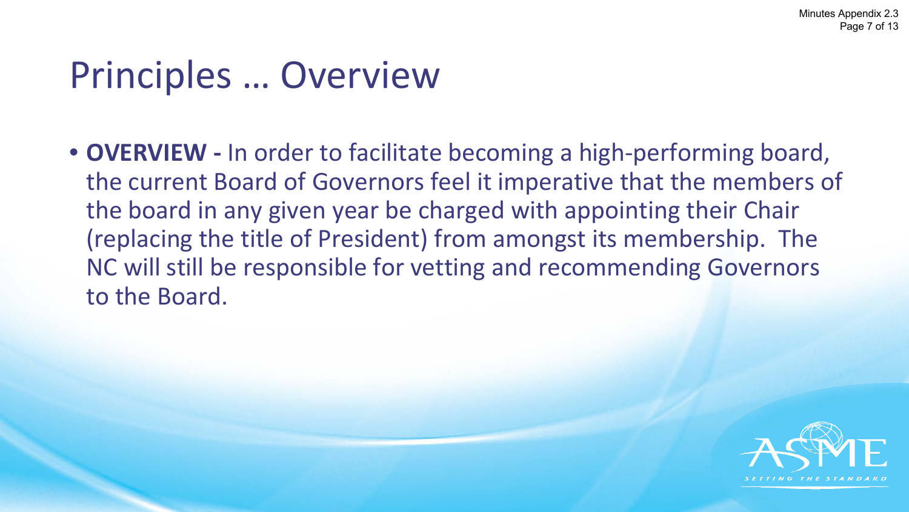# Principles … Overview

• **OVERVIEW -** In order to facilitate becoming a high-performing board, the current Board of Governors feel it imperative that the members of the board in any given year be charged with appointing their Chair (replacing the title of President) from amongst its membership. The NC will still be responsible for vetting and recommending Governors to the Board.

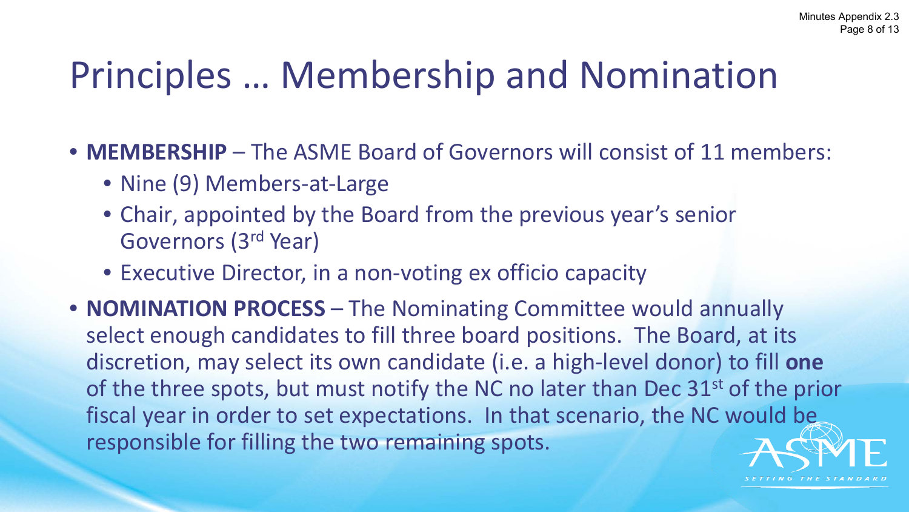# Principles … Membership and Nomination

- **MEMBERSHIP** The ASME Board of Governors will consist of 11 members:
	- Nine (9) Members-at-Large
	- Chair, appointed by the Board from the previous year's senior Governors (3rd Year)
	- Executive Director, in a non-voting ex officio capacity
- **NOMINATION PROCESS** The Nominating Committee would annually select enough candidates to fill three board positions. The Board, at its discretion, may select its own candidate (i.e. a high-level donor) to fill **one** of the three spots, but must notify the NC no later than Dec 31<sup>st</sup> of the prior fiscal year in order to set expectations. In that scenario, the NC would be responsible for filling the two remaining spots.

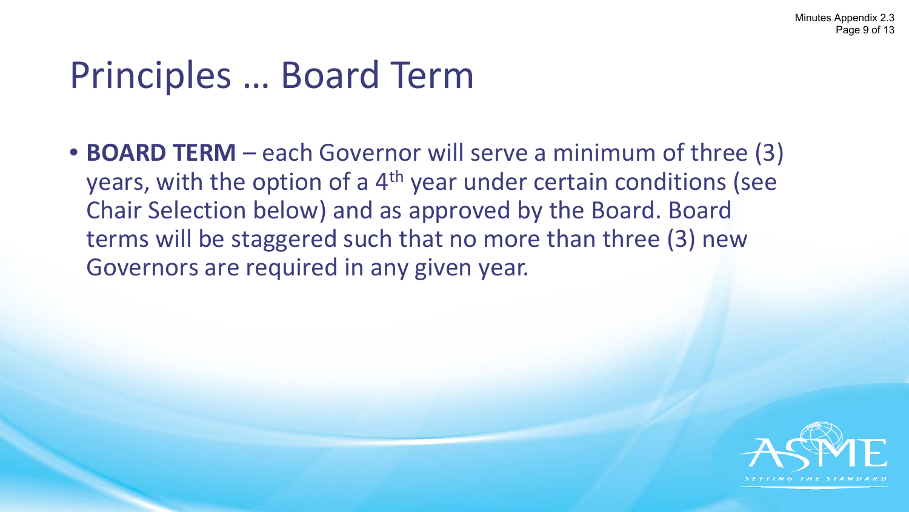# Principles … Board Term

• **BOARD TERM** – each Governor will serve a minimum of three (3) years, with the option of a 4<sup>th</sup> year under certain conditions (see Chair Selection below) and as approved by the Board. Board terms will be staggered such that no more than three (3) new Governors are required in any given year.

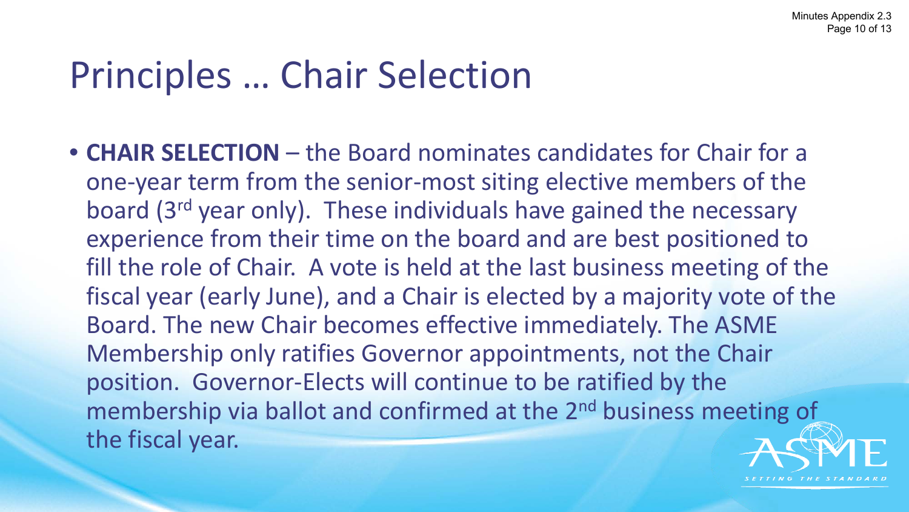# Principles … Chair Selection

• **CHAIR SELECTION** – the Board nominates candidates for Chair for a one-year term from the senior-most siting elective members of the board (3rd year only). These individuals have gained the necessary experience from their time on the board and are best positioned to fill the role of Chair. A vote is held at the last business meeting of the fiscal year (early June), and a Chair is elected by a majority vote of the Board. The new Chair becomes effective immediately. The ASME Membership only ratifies Governor appointments, not the Chair position. Governor-Elects will continue to be ratified by the membership via ballot and confirmed at the 2<sup>nd</sup> business meeting of the fiscal year.

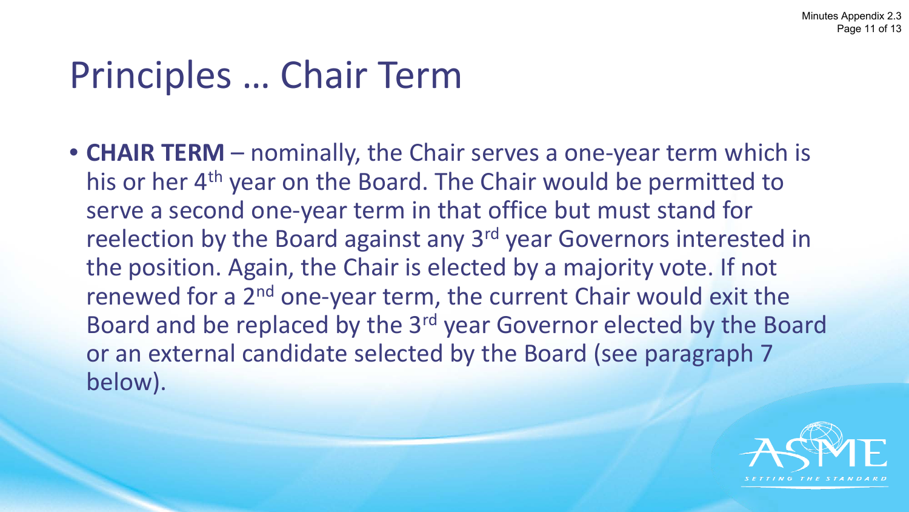# Principles … Chair Term

• **CHAIR TERM** – nominally, the Chair serves a one-year term which is his or her 4<sup>th</sup> year on the Board. The Chair would be permitted to serve a second one-year term in that office but must stand for reelection by the Board against any 3<sup>rd</sup> year Governors interested in the position. Again, the Chair is elected by a majority vote. If not renewed for a 2<sup>nd</sup> one-year term, the current Chair would exit the Board and be replaced by the 3rd year Governor elected by the Board or an external candidate selected by the Board (see paragraph 7 below).

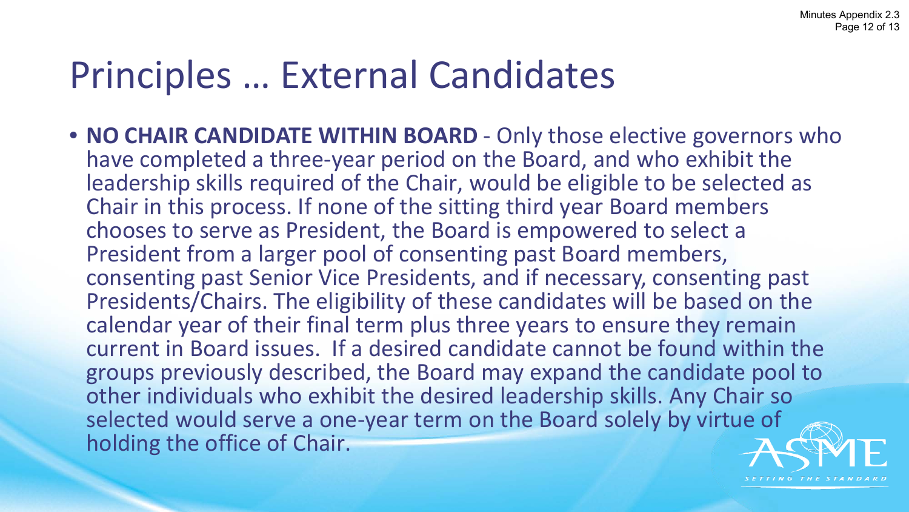# Principles … External Candidates

• **NO CHAIR CANDIDATE WITHIN BOARD** - Only those elective governors who have completed a three-year period on the Board, and who exhibit the leadership skills required of the Chair, would be eligible to be selected as Chair in this process. If none of the sitting third year Board members chooses to serve as President, the Board is empowered to select a President from a larger pool of consenting past Board members, consenting past Senior Vice Presidents, and if necessary, consenting past Presidents/Chairs. The eligibility of these candidates will be based on the calendar year of their final term plus three years to ensure they remain current in Board issues. If a desired candidate cannot be found within the groups previously described, the Board may expand the candidate pool to other individuals who exhibit the desired leadership skills. Any Chair so selected would serve a one-year term on the Board solely by virtue of holding the office of Chair.